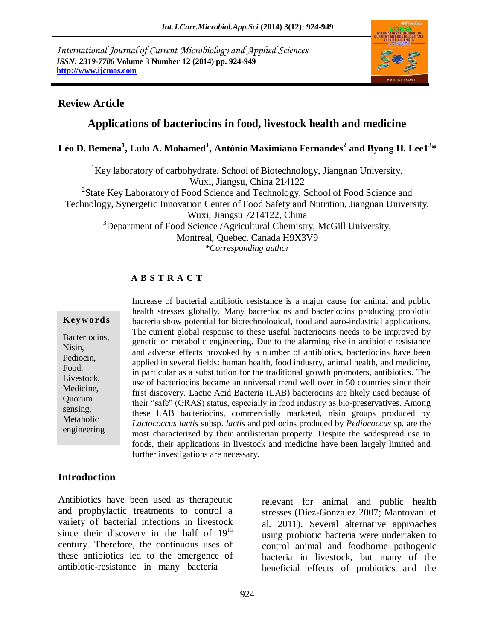*International Journal of Current Microbiology and Applied Sciences ISSN: 2319-7706* **Volume 3 Number 12 (2014) pp. 924-949 http://www.ijcmas.com** 



## **Review Article**

# **Applications of bacteriocins in food, livestock health and medicine**

**Léo D. Bemena<sup>1</sup> , Lulu A. Mohamed<sup>1</sup> , António Maximiano Fernandes<sup>2</sup> and Byong H. Lee1<sup>3</sup> \***

<sup>1</sup>Key laboratory of carbohydrate, School of Biotechnology, Jiangnan University, Wuxi, Jiangsu, China 214122

<sup>2</sup>State Key Laboratory of Food Science and Technology, School of Food Science and Technology, Synergetic Innovation Center of Food Safety and Nutrition, Jiangnan University, Wuxi, Jiangsu 7214122, China

<sup>3</sup>Department of Food Science /Agricultural Chemistry, McGill University, Montreal, Quebec, Canada H9X3V9 *\*Corresponding author* 

## **A B S T R A C T**

#### **K ey w o rd s**

Bacteriocins, Nisin, Pediocin, Food, Livestock, Medicine, Quorum sensing, Metabolic engineering

Increase of bacterial antibiotic resistance is a major cause for animal and public health stresses globally. Many bacteriocins and bacteriocins producing probiotic bacteria show potential for biotechnological, food and agro-industrial applications. The current global response to these useful bacteriocins needs to be improved by genetic or metabolic engineering. Due to the alarming rise in antibiotic resistance and adverse effects provoked by a number of antibiotics, bacteriocins have been applied in several fields: human health, food industry, animal health, and medicine, in particular as a substitution for the traditional growth promoters, antibiotics. The use of bacteriocins became an universal trend well over in 50 countries since their first discovery. Lactic Acid Bacteria (LAB) bacterocins are likely used because of their "safe" (GRAS) status, especially in food industry as bio-preservatives. Among these LAB bacteriocins, commercially marketed, nisin groups produced by *Lactococcus lactis* subsp. *lactis* and pediocins produced by *Pediococcus* sp. are the most characterized by their antilisterian property. Despite the widespread use in foods, their applications in livestock and medicine have been largely limited and further investigations are necessary.

### **Introduction**

Antibiotics have been used as therapeutic and prophylactic treatments to control a variety of bacterial infections in livestock since their discovery in the half of  $19<sup>th</sup>$ century. Therefore, the continuous uses of these antibiotics led to the emergence of antibiotic-resistance in many bacteria

relevant for animal and public health stresses (Diez-Gonzalez 2007; Mantovani et al. 2011). Several alternative approaches using probiotic bacteria were undertaken to control animal and foodborne pathogenic bacteria in livestock, but many of the beneficial effects of probiotics and the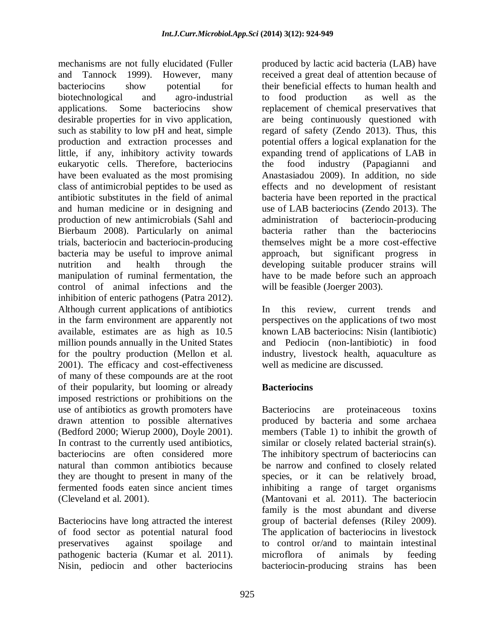mechanisms are not fully elucidated (Fuller and Tannock 1999). However, many bacteriocins show potential for biotechnological and agro-industrial applications. Some bacteriocins show desirable properties for in vivo application, such as stability to low pH and heat, simple production and extraction processes and little, if any, inhibitory activity towards eukaryotic cells. Therefore, bacteriocins have been evaluated as the most promising class of antimicrobial peptides to be used as antibiotic substitutes in the field of animal and human medicine or in designing and production of new antimicrobials (Sahl and Bierbaum 2008). Particularly on animal trials, bacteriocin and bacteriocin-producing bacteria may be useful to improve animal nutrition and health through the manipulation of ruminal fermentation, the control of animal infections and the inhibition of enteric pathogens (Patra 2012). Although current applications of antibiotics in the farm environment are apparently not available, estimates are as high as 10.5 million pounds annually in the United States for the poultry production (Mellon et al. 2001). The efficacy and cost-effectiveness of many of these compounds are at the root of their popularity, but looming or already imposed restrictions or prohibitions on the use of antibiotics as growth promoters have drawn attention to possible alternatives (Bedford 2000; Wierup 2000), Doyle 2001). In contrast to the currently used antibiotics, bacteriocins are often considered more natural than common antibiotics because they are thought to present in many of the fermented foods eaten since ancient times (Cleveland et al. 2001).

Bacteriocins have long attracted the interest of food sector as potential natural food preservatives against spoilage and pathogenic bacteria (Kumar et al. 2011). Nisin, pediocin and other bacteriocins

produced by lactic acid bacteria (LAB) have received a great deal of attention because of their beneficial effects to human health and to food production as well as the replacement of chemical preservatives that are being continuously questioned with regard of safety (Zendo 2013). Thus, this potential offers a logical explanation for the expanding trend of applications of LAB in the food industry (Papagianni and Anastasiadou 2009). In addition, no side effects and no development of resistant bacteria have been reported in the practical use of LAB bacteriocins (Zendo 2013). The administration of bacteriocin-producing bacteria rather than the bacteriocins themselves might be a more cost-effective approach, but significant progress in developing suitable producer strains will have to be made before such an approach will be feasible (Joerger 2003).

In this review, current trends and perspectives on the applications of two most known LAB bacteriocins: Nisin (lantibiotic) and Pediocin (non-lantibiotic) in food industry, livestock health, aquaculture as well as medicine are discussed.

# **Bacteriocins**

Bacteriocins are proteinaceous toxins produced by bacteria and some archaea members (Table 1) to inhibit the growth of similar or closely related bacterial strain(s). The inhibitory spectrum of bacteriocins can be narrow and confined to closely related species, or it can be relatively broad, inhibiting a range of target organisms (Mantovani et al. 2011). The bacteriocin family is the most abundant and diverse group of bacterial defenses (Riley 2009). The application of bacteriocins in livestock to control or/and to maintain intestinal microflora of animals by feeding bacteriocin-producing strains has been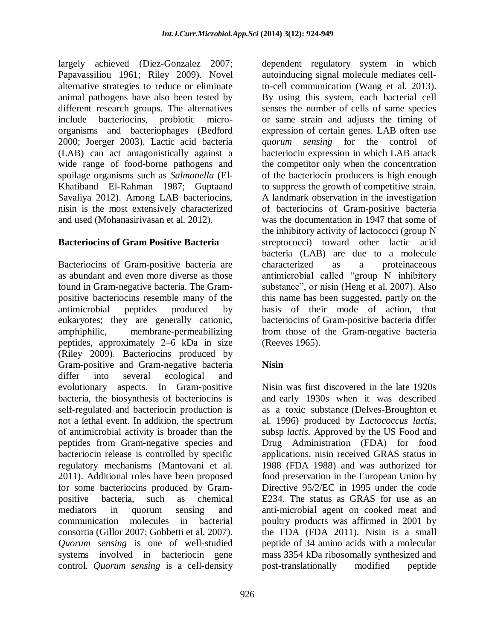largely achieved (Diez-Gonzalez 2007; Papavassiliou 1961; Riley 2009). Novel alternative strategies to reduce or eliminate animal pathogens have also been tested by different research groups. The alternatives include bacteriocins, probiotic microorganisms and bacteriophages (Bedford 2000; Joerger 2003). Lactic acid bacteria (LAB) can act antagonistically against a wide range of food-borne pathogens and spoilage organisms such as *Salmonella* (El-Khatiband El-Rahman 1987; Guptaand Savaliya 2012). Among LAB bacteriocins, nisin is the most extensively characterized and used (Mohanasirivasan et al. 2012).

# **Bacteriocins of Gram Positive Bacteria**

Bacteriocins of Gram-positive bacteria are as abundant and even more diverse as those found in Gram-negative bacteria. The Grampositive bacteriocins resemble many of the antimicrobial peptides produced by eukaryotes; they are generally cationic, amphiphilic, membrane-permeabilizing peptides, approximately 2–6 kDa in size (Riley 2009). Bacteriocins produced by Gram-positive and Gram-negative bacteria differ into several ecological and evolutionary aspects. In Gram-positive bacteria, the biosynthesis of bacteriocins is self-regulated and bacteriocin production is not a lethal event. In addition, the spectrum of antimicrobial activity is broader than the peptides from Gram-negative species and bacteriocin release is controlled by specific regulatory mechanisms (Mantovani et al. 2011). Additional roles have been proposed for some bacteriocins produced by Grampositive bacteria, such as chemical mediators in quorum sensing and communication molecules in bacterial consortia (Gillor 2007; Gobbetti et al. 2007). *Quorum sensing* is one of well-studied systems involved in bacteriocin gene control. *Quorum sensing* is a cell-density

dependent regulatory system in which autoinducing signal molecule mediates cellto-cell communication (Wang et al. 2013). By using this system, each bacterial cell senses the number of cells of same species or same strain and adjusts the timing of expression of certain genes. LAB often use *quorum sensing* for the control of bacteriocin expression in which LAB attack the competitor only when the concentration of the bacteriocin producers is high enough to suppress the growth of competitive strain. A landmark observation in the investigation of bacteriocins of Gram-positive bacteria was the documentation in 1947 that some of the inhibitory activity of lactococci (group N streptococci) toward other lactic acid bacteria (LAB) are due to a molecule characterized as a proteinaceous antimicrobial called "group N inhibitory substance", or nisin (Heng et al. 2007). Also this name has been suggested, partly on the basis of their mode of action, that bacteriocins of Gram-positive bacteria differ from those of the Gram-negative bacteria (Reeves 1965).

# **Nisin**

Nisin was first discovered in the late 1920s and early 1930s when it was described as a toxic substance (Delves-Broughton et al. 1996) produced by *Lactococcus lactis*, subsp *lactis.* Approved by the US Food and Drug Administration (FDA) for food applications, nisin received GRAS status in 1988 (FDA 1988) and was authorized for food preservation in the European Union by Directive 95/2/EC in 1995 under the code E234. The status as GRAS for use as an anti-microbial agent on cooked meat and poultry products was affirmed in 2001 by the FDA (FDA 2011). Nisin is a small peptide of 34 amino acids with a molecular mass 3354 kDa ribosomally synthesized and post-translationally modified peptide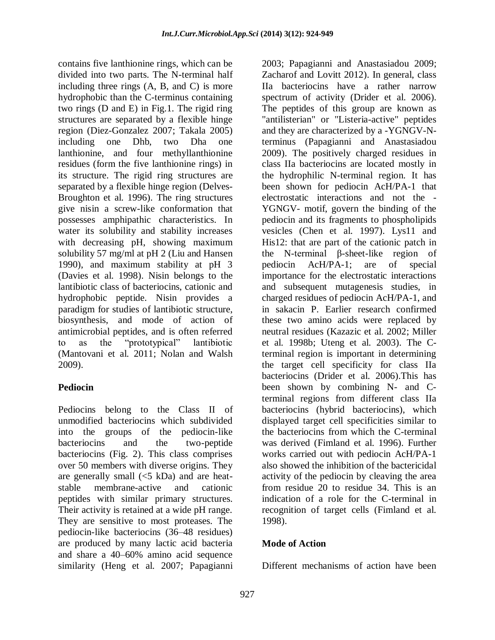contains five lanthionine rings, which can be divided into two parts. The N-terminal half including three rings (A, B, and C) is more hydrophobic than the C-terminus containing two rings (D and E) in Fig.1. The rigid ring structures are separated by a flexible hinge region (Diez-Gonzalez 2007; Takala 2005) including one Dhb, two Dha one lanthionine, and four methyllanthionine residues (form the five lanthionine rings) in its structure. The rigid ring structures are separated by a flexible hinge region (Delves-Broughton et al. 1996). The ring structures give nisin a screw-like conformation that possesses amphipathic characteristics. In water its solubility and stability increases with decreasing pH, showing maximum solubility 57 mg/ml at pH 2 (Liu and Hansen 1990), and maximum stability at pH 3 (Davies et al. 1998). Nisin belongs to the lantibiotic class of bacteriocins, cationic and hydrophobic peptide. Nisin provides a paradigm for studies of lantibiotic structure, biosynthesis, and mode of action of antimicrobial peptides, and is often referred to as the "prototypical" lantibiotic (Mantovani et al. 2011; Nolan and Walsh 2009).

# **Pediocin**

Pediocins belong to the Class II of unmodified bacteriocins which subdivided into the groups of the pediocin-like bacteriocins and the two-peptide bacteriocins (Fig. 2). This class comprises over 50 members with diverse origins. They are generally small  $(<5$  kDa) and are heatstable membrane-active and cationic peptides with similar primary structures. Their activity is retained at a wide pH range. They are sensitive to most proteases. The pediocin-like bacteriocins (36–48 residues) are produced by many lactic acid bacteria and share a 40–60% amino acid sequence similarity (Heng et al. 2007; Papagianni

2003; Papagianni and Anastasiadou 2009; Zacharof and Lovitt 2012). In general, class IIa bacteriocins have a rather narrow spectrum of activity (Drider et al. 2006). The peptides of this group are known as "antilisterian" or "Listeria-active" peptides and they are characterized by a -YGNGV-Nterminus (Papagianni and Anastasiadou 2009). The positively charged residues in class IIa bacteriocins are located mostly in the hydrophilic N-terminal region. It has been shown for pediocin AcH/PA-1 that electrostatic interactions and not the - YGNGV- motif, govern the binding of the pediocin and its fragments to phospholipids vesicles (Chen et al. 1997). Lys11 and His12: that are part of the cationic patch in the N-terminal β-sheet-like region of pediocin AcH/PA-1; are of special importance for the electrostatic interactions and subsequent mutagenesis studies, in charged residues of pediocin AcH/PA-1, and in sakacin P. Earlier research confirmed these two amino acids were replaced by neutral residues (Kazazic et al. 2002; Miller et al. 1998b; Uteng et al. 2003). The Cterminal region is important in determining the target cell specificity for class IIa bacteriocins (Drider et al. 2006).This has been shown by combining N- and Cterminal regions from different class IIa bacteriocins (hybrid bacteriocins), which displayed target cell specificities similar to the bacteriocins from which the C-terminal was derived (Fimland et al. 1996). Further works carried out with pediocin AcH/PA-1 also showed the inhibition of the bactericidal activity of the pediocin by cleaving the area from residue 20 to residue 34. This is an indication of a role for the C-terminal in recognition of target cells (Fimland et al. 1998).

# **Mode of Action**

Different mechanisms of action have been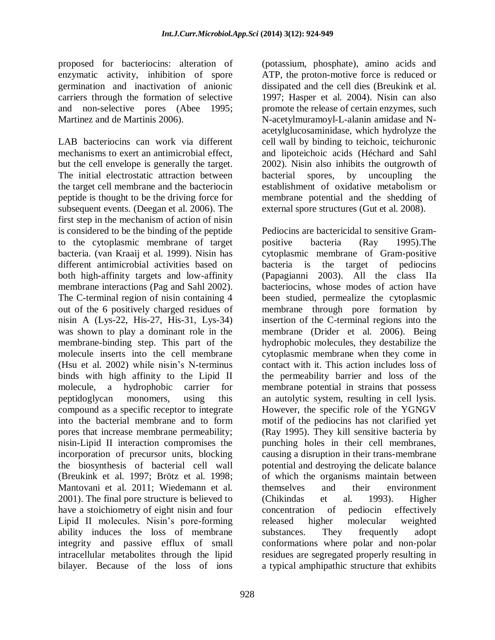proposed for bacteriocins: alteration of enzymatic activity, inhibition of spore germination and inactivation of anionic carriers through the formation of selective and non-selective pores (Abee 1995; Martinez and de Martinis 2006).

LAB bacteriocins can work via different mechanisms to exert an antimicrobial effect, but the cell envelope is generally the target. The initial electrostatic attraction between the target cell membrane and the bacteriocin peptide is thought to be the driving force for subsequent events. (Deegan et al. 2006). The first step in the mechanism of action of nisin is considered to be the binding of the peptide to the cytoplasmic membrane of target bacteria. (van Kraaij et al. 1999). Nisin has different antimicrobial activities based on both high-affinity targets and low-affinity membrane interactions (Pag and Sahl 2002). The C-terminal region of nisin containing 4 out of the 6 positively charged residues of nisin A (Lys-22, His-27, His-31, Lys-34) was shown to play a dominant role in the membrane-binding step. This part of the molecule inserts into the cell membrane (Hsu et al. 2002) while nisin"s N-terminus binds with high affinity to the Lipid II molecule, a hydrophobic carrier for peptidoglycan monomers, using this compound as a specific receptor to integrate into the bacterial membrane and to form pores that increase membrane permeability; nisin-Lipid II interaction compromises the incorporation of precursor units, blocking the biosynthesis of bacterial cell wall (Breukink et al. 1997; Brötz et al. 1998; Mantovani et al. 2011; Wiedemann et al. 2001). The final pore structure is believed to have a stoichiometry of eight nisin and four Lipid II molecules. Nisin"s pore-forming ability induces the loss of membrane integrity and passive efflux of small intracellular metabolites through the lipid bilayer. Because of the loss of ions

dissipated and the cell dies (Breukink et al. 1997; Hasper et al. 2004). Nisin can also promote the release of certain enzymes, such N-acetylmuramoyl-L-alanin amidase and Nacetylglucosaminidase, which hydrolyze the cell wall by binding to teichoic, teichuronic and lipoteichoic acids (Héchard and Sahl 2002). Nisin also inhibits the outgrowth of bacterial spores, by uncoupling the establishment of oxidative metabolism or membrane potential and the shedding of external spore structures (Gut et al. 2008). Pediocins are bactericidal to sensitive Grampositive bacteria (Ray 1995).The

(potassium, phosphate), amino acids and ATP, the proton-motive force is reduced or

cytoplasmic membrane of Gram-positive bacteria is the target of pediocins (Papagianni 2003). All the class IIa bacteriocins, whose modes of action have been studied, permealize the cytoplasmic membrane through pore formation by insertion of the C-terminal regions into the membrane (Drider et al. 2006). Being hydrophobic molecules, they destabilize the cytoplasmic membrane when they come in contact with it. This action includes loss of the permeability barrier and loss of the membrane potential in strains that possess an autolytic system, resulting in cell lysis. However, the specific role of the YGNGV motif of the pediocins has not clarified yet (Ray 1995). They kill sensitive bacteria by punching holes in their cell membranes, causing a disruption in their trans-membrane potential and destroying the delicate balance of which the organisms maintain between themselves and their environment (Chikindas et al. 1993). Higher concentration of pediocin effectively released higher molecular weighted substances. They frequently adopt conformations where polar and non-polar residues are segregated properly resulting in a typical amphipathic structure that exhibits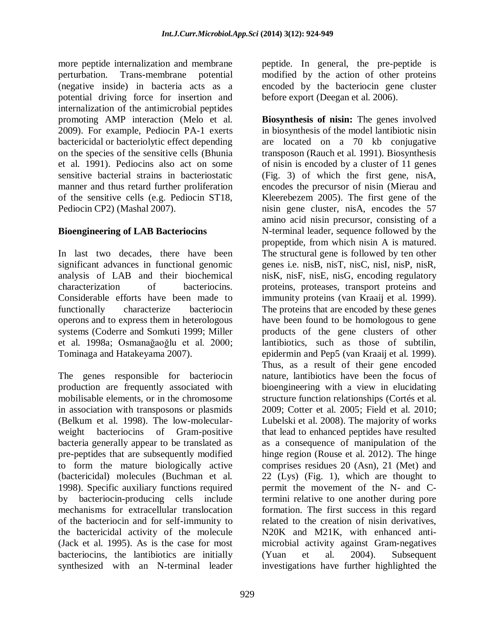more peptide internalization and membrane perturbation. Trans-membrane potential (negative inside) in bacteria acts as a potential driving force for insertion and internalization of the antimicrobial peptides promoting AMP interaction (Melo et al. 2009). For example, Pediocin PA-1 exerts bactericidal or bacteriolytic effect depending on the species of the sensitive cells (Bhunia et al. 1991). Pediocins also act on some sensitive bacterial strains in bacteriostatic manner and thus retard further proliferation of the sensitive cells (e.g. Pediocin ST18, Pediocin CP2) (Mashal 2007).

# **Bioengineering of LAB Bacteriocins**

In last two decades, there have been significant advances in functional genomic analysis of LAB and their biochemical characterization of bacteriocins. Considerable efforts have been made to functionally characterize bacteriocin operons and to express them in heterologous systems (Coderre and Somkuti 1999; Miller et al. 1998a; Osmanağaoğlu et al. 2000; Tominaga and Hatakeyama 2007).

The genes responsible for bacteriocin production are frequently associated with mobilisable elements, or in the chromosome in association with transposons or plasmids (Belkum et al. 1998). The low-molecularweight bacteriocins of Gram-positive bacteria generally appear to be translated as pre-peptides that are subsequently modified to form the mature biologically active (bactericidal) molecules (Buchman et al. 1998). Specific auxiliary functions required by bacteriocin-producing cells include mechanisms for extracellular translocation of the bacteriocin and for self-immunity to the bactericidal activity of the molecule (Jack et al. 1995). As is the case for most bacteriocins, the lantibiotics are initially synthesized with an N-terminal leader

peptide. In general, the pre-peptide is modified by the action of other proteins encoded by the bacteriocin gene cluster before export (Deegan et al. 2006).

**Biosynthesis of nisin:** The genes involved in biosynthesis of the model lantibiotic nisin are located on a 70 kb conjugative transposon (Rauch et al. 1991). Biosynthesis of nisin is encoded by a cluster of 11 genes (Fig. 3) of which the first gene, nisA, encodes the precursor of nisin (Mierau and Kleerebezem 2005). The first gene of the nisin gene cluster, nisA, encodes the 57 amino acid nisin precursor, consisting of a N-terminal leader, sequence followed by the propeptide, from which nisin A is matured. The structural gene is followed by ten other genes i.e. nisB, nisT, nisC, nisI, nisP, nisR, nisK, nisF, nisE, nisG, encoding regulatory proteins, proteases, transport proteins and immunity proteins (van Kraaij et al. 1999). The proteins that are encoded by these genes have been found to be homologous to gene products of the gene clusters of other lantibiotics, such as those of subtilin, epidermin and Pep5 (van Kraaij et al. 1999). Thus, as a result of their gene encoded nature, lantibiotics have been the focus of bioengineering with a view in elucidating structure function relationships (Cortés et al. 2009; Cotter et al. 2005; Field et al. 2010; Lubelski et al. 2008). The majority of works that lead to enhanced peptides have resulted as a consequence of manipulation of the hinge region (Rouse et al. 2012). The hinge comprises residues 20 (Asn), 21 (Met) and  $22$  (Lys) (Fig. 1), which are thought to permit the movement of the N- and Ctermini relative to one another during pore formation. The first success in this regard related to the creation of nisin derivatives, N20K and M21K, with enhanced antimicrobial activity against Gram-negatives (Yuan et al. 2004). Subsequent investigations have further highlighted the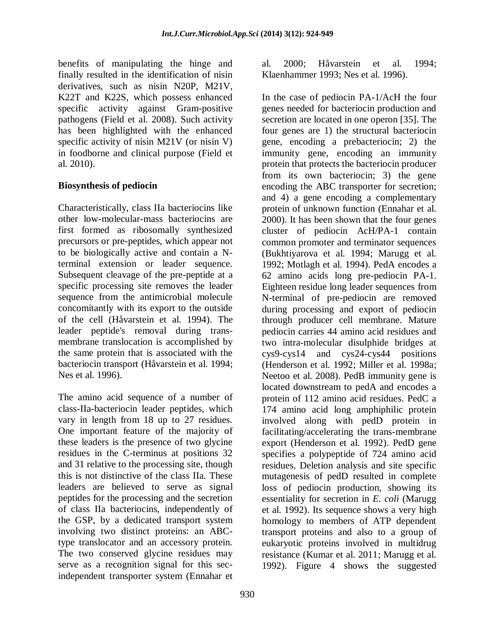benefits of manipulating the hinge and finally resulted in the identification of nisin derivatives, such as nisin N20P, M21V, K22T and K22S, which possess enhanced specific activity against Gram-positive pathogens (Field et al. 2008). Such activity has been highlighted with the enhanced specific activity of nisin M21V (or nisin V) in foodborne and clinical purpose (Field et al. 2010).

# **Biosynthesis of pediocin**

Characteristically, class IIa bacteriocins like other low-molecular-mass bacteriocins are first formed as ribosomally synthesized precursors or pre-peptides, which appear not to be biologically active and contain a Nterminal extension or leader sequence. Subsequent cleavage of the pre-peptide at a specific processing site removes the leader sequence from the antimicrobial molecule concomitantly with its export to the outside of the cell (Håvarstein et al. 1994). The leader peptide's removal during transmembrane translocation is accomplished by the same protein that is associated with the bacteriocin transport (Håvarstein et al. 1994; Nes et al. 1996).

The amino acid sequence of a number of class-IIa-bacteriocin leader peptides, which vary in length from 18 up to 27 residues. One important feature of the majority of these leaders is the presence of two glycine residues in the C-terminus at positions 32 and 31 relative to the processing site, though this is not distinctive of the class IIa. These leaders are believed to serve as signal peptides for the processing and the secretion of class IIa bacteriocins, independently of the GSP, by a dedicated transport system involving two distinct proteins: an ABCtype translocator and an accessory protein. The two conserved glycine residues may serve as a recognition signal for this secindependent transporter system (Ennahar et

al. 2000; Håvarstein et al. 1994; Klaenhammer 1993; Nes et al. 1996).

In the case of pediocin PA-1/AcH the four genes needed for bacteriocin production and secretion are located in one operon [35]. The four genes are 1) the structural bacteriocin gene, encoding a prebacteriocin; 2) the immunity gene, encoding an immunity protein that protects the bacteriocin producer from its own bacteriocin; 3) the gene encoding the ABC transporter for secretion; and 4) a gene encoding a complementary protein of unknown function (Ennahar et al. 2000). It has been shown that the four genes cluster of pediocin AcH/PA-1 contain common promoter and terminator sequences (Bukhtiyarova et al. 1994; Marugg et al. 1992; Motlagh et al. 1994). PedA encodes a 62 amino acids long pre-pediocin PA-1. Eighteen residue long leader sequences from N-terminal of pre-pediocin are removed during processing and export of pediocin through producer cell membrane. Mature pediocin carries 44 amino acid residues and two intra-molecular disulphide bridges at cys9-cys14 and cys24-cys44 positions (Henderson et al. 1992; Miller et al. 1998a; Neetoo et al. 2008). PedB immunity gene is located downstream to pedA and encodes a protein of 112 amino acid residues. PedC a 174 amino acid long amphiphilic protein involved along with pedD protein in facilitating/accelerating the trans-membrane export (Henderson et al. 1992). PedD gene specifies a polypeptide of 724 amino acid residues. Deletion analysis and site specific mutagenesis of pedD resulted in complete loss of pediocin production, showing its essentiality for secretion in *E. coli* (Marugg et al. 1992). Its sequence shows a very high homology to members of ATP dependent transport proteins and also to a group of eukaryotic proteins involved in multidrug resistance (Kumar et al. 2011; Marugg et al. 1992). Figure 4 shows the suggested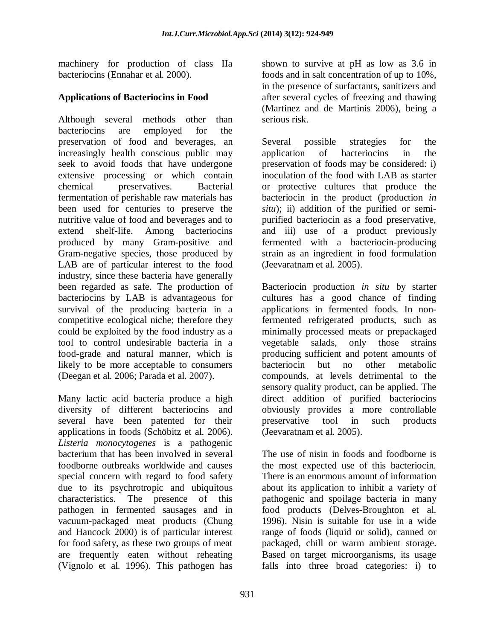machinery for production of class IIa bacteriocins (Ennahar et al. 2000).

## **Applications of Bacteriocins in Food**

Although several methods other than bacteriocins are employed for the preservation of food and beverages, an increasingly health conscious public may seek to avoid foods that have undergone extensive processing or which contain chemical preservatives. Bacterial fermentation of perishable raw materials has been used for centuries to preserve the nutritive value of food and beverages and to extend shelf-life. Among bacteriocins produced by many Gram-positive and Gram-negative species, those produced by LAB are of particular interest to the food industry, since these bacteria have generally been regarded as safe. The production of bacteriocins by LAB is advantageous for survival of the producing bacteria in a competitive ecological niche; therefore they could be exploited by the food industry as a tool to control undesirable bacteria in a food-grade and natural manner, which is likely to be more acceptable to consumers (Deegan et al. 2006; Parada et al. 2007).

Many lactic acid bacteria produce a high diversity of different bacteriocins and several have been patented for their applications in foods (Schöbitz et al. 2006). *Listeria monocytogenes* is a pathogenic bacterium that has been involved in several foodborne outbreaks worldwide and causes special concern with regard to food safety due to its psychrotropic and ubiquitous characteristics. The presence of this pathogen in fermented sausages and in vacuum-packaged meat products (Chung and Hancock 2000) is of particular interest for food safety, as these two groups of meat are frequently eaten without reheating (Vignolo et al. 1996). This pathogen has

shown to survive at pH as low as 3.6 in foods and in salt concentration of up to 10%, in the presence of surfactants, sanitizers and after several cycles of freezing and thawing (Martinez and de Martinis 2006), being a serious risk.

Several possible strategies for the application of bacteriocins in the preservation of foods may be considered: i) inoculation of the food with LAB as starter or protective cultures that produce the bacteriocin in the product (production *in situ*); ii) addition of the purified or semipurified bacteriocin as a food preservative, and iii) use of a product previously fermented with a bacteriocin-producing strain as an ingredient in food formulation (Jeevaratnam et al. 2005).

Bacteriocin production *in situ* by starter cultures has a good chance of finding applications in fermented foods. In nonfermented refrigerated products, such as minimally processed meats or prepackaged vegetable salads, only those strains producing sufficient and potent amounts of bacteriocin but no other metabolic compounds, at levels detrimental to the sensory quality product, can be applied. The direct addition of purified bacteriocins obviously provides a more controllable preservative tool in such products (Jeevaratnam et al. 2005).

The use of nisin in foods and foodborne is the most expected use of this bacteriocin. There is an enormous amount of information about its application to inhibit a variety of pathogenic and spoilage bacteria in many food products (Delves-Broughton et al. 1996). Nisin is suitable for use in a wide range of foods (liquid or solid), canned or packaged, chill or warm ambient storage. Based on target microorganisms, its usage falls into three broad categories: i) to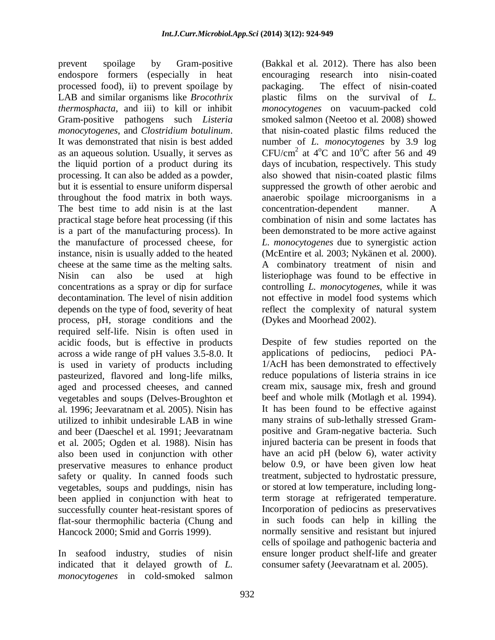prevent spoilage by Gram-positive endospore formers (especially in heat processed food), ii) to prevent spoilage by LAB and similar organisms like *Brocothrix thermosphacta*, and iii) to kill or inhibit Gram-positive pathogens such *Listeria monocytogenes*, and *Clostridium botulinum*. It was demonstrated that nisin is best added as an aqueous solution. Usually, it serves as the liquid portion of a product during its processing. It can also be added as a powder, but it is essential to ensure uniform dispersal throughout the food matrix in both ways. The best time to add nisin is at the last practical stage before heat processing (if this is a part of the manufacturing process). In the manufacture of processed cheese, for instance, nisin is usually added to the heated cheese at the same time as the melting salts. Nisin can also be used at high concentrations as a spray or dip for surface decontamination. The level of nisin addition depends on the type of food, severity of heat process, pH, storage conditions and the required self-life. Nisin is often used in acidic foods, but is effective in products across a wide range of pH values 3.5-8.0. It is used in variety of products including pasteurized, flavored and long-life milks, aged and processed cheeses, and canned vegetables and soups (Delves-Broughton et al. 1996; Jeevaratnam et al. 2005). Nisin has utilized to inhibit undesirable LAB in wine and beer (Daeschel et al. 1991; Jeevaratnam et al. 2005; Ogden et al. 1988). Nisin has also been used in conjunction with other preservative measures to enhance product safety or quality. In canned foods such vegetables, soups and puddings, nisin has been applied in conjunction with heat to successfully counter heat-resistant spores of flat-sour thermophilic bacteria (Chung and Hancock 2000; Smid and Gorris 1999).

In seafood industry, studies of nisin indicated that it delayed growth of *L. monocytogenes* in cold-smoked salmon

(Bakkal et al. 2012). There has also been encouraging research into nisin-coated packaging. The effect of nisin-coated plastic films on the survival of *L. monocytogenes* on vacuum-packed cold smoked salmon (Neetoo et al. 2008) showed that nisin-coated plastic films reduced the number of *L. monocytogenes* by 3.9 log CFU/cm<sup>2</sup> at 4<sup>o</sup>C and 10<sup>o</sup>C after 56 and 49 days of incubation, respectively. This study also showed that nisin-coated plastic films suppressed the growth of other aerobic and anaerobic spoilage microorganisms in a concentration-dependent manner. A combination of nisin and some lactates has been demonstrated to be more active against *L. monocytogenes* due to synergistic action (McEntire et al. 2003; Nykänen et al. 2000). A combinatory treatment of nisin and listeriophage was found to be effective in controlling *L. monocytogenes,* while it was not effective in model food systems which reflect the complexity of natural system (Dykes and Moorhead 2002).

Despite of few studies reported on the applications of pediocins, pedioci PA-1/AcH has been demonstrated to effectively reduce populations of listeria strains in ice cream mix, sausage mix, fresh and ground beef and whole milk (Motlagh et al. 1994). It has been found to be effective against many strains of sub-lethally stressed Grampositive and Gram-negative bacteria. Such injured bacteria can be present in foods that have an acid pH (below 6), water activity below 0.9, or have been given low heat treatment, subjected to hydrostatic pressure, or stored at low temperature, including longterm storage at refrigerated temperature. Incorporation of pediocins as preservatives in such foods can help in killing the normally sensitive and resistant but injured cells of spoilage and pathogenic bacteria and ensure longer product shelf-life and greater consumer safety (Jeevaratnam et al. 2005).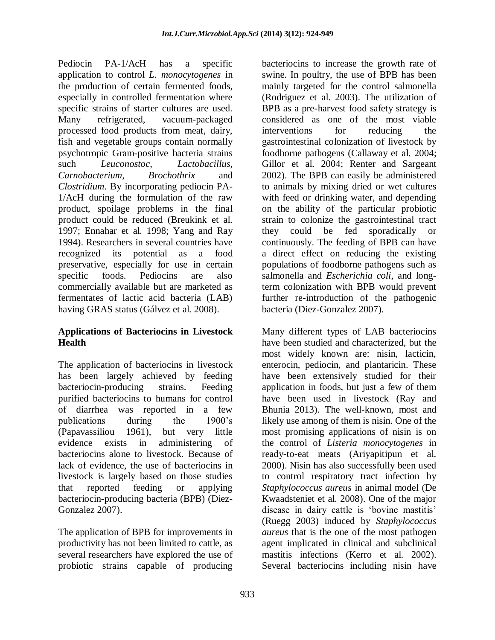Pediocin PA-1/AcH has a specific application to control *L. monocytogenes* in the production of certain fermented foods, especially in controlled fermentation where specific strains of starter cultures are used. Many refrigerated, vacuum-packaged processed food products from meat, dairy, fish and vegetable groups contain normally psychotropic Gram-positive bacteria strains such *Leuconostoc*, *Lactobacillus, Carnobacterium, Brochothrix* and *Clostridium*. By incorporating pediocin PA-1/AcH during the formulation of the raw product, spoilage problems in the final product could be reduced (Breukink et al. 1997; Ennahar et al. 1998; Yang and Ray 1994). Researchers in several countries have recognized its potential as a food preservative, especially for use in certain specific foods. Pediocins are also commercially available but are marketed as fermentates of lactic acid bacteria (LAB) having GRAS status (Gálvez et al. 2008).

## **Applications of Bacteriocins in Livestock Health**

The application of bacteriocins in livestock has been largely achieved by feeding bacteriocin-producing strains. Feeding purified bacteriocins to humans for control of diarrhea was reported in a few publications during the 1900"s (Papavassiliou 1961), but very little evidence exists in administering of bacteriocins alone to livestock. Because of lack of evidence, the use of bacteriocins in livestock is largely based on those studies that reported feeding or applying bacteriocin-producing bacteria (BPB) (Diez-Gonzalez 2007).

The application of BPB for improvements in productivity has not been limited to cattle, as several researchers have explored the use of probiotic strains capable of producing

bacteriocins to increase the growth rate of swine. In poultry, the use of BPB has been mainly targeted for the control salmonella (Rodriguez et al. 2003). The utilization of BPB as a pre-harvest food safety strategy is considered as one of the most viable interventions for reducing the gastrointestinal colonization of livestock by foodborne pathogens (Callaway et al. 2004; Gillor et al. 2004; Renter and Sargeant 2002). The BPB can easily be administered to animals by mixing dried or wet cultures with feed or drinking water, and depending on the ability of the particular probiotic strain to colonize the gastrointestinal tract they could be fed sporadically or continuously. The feeding of BPB can have a direct effect on reducing the existing populations of foodborne pathogens such as salmonella and *Escherichia coli*, and longterm colonization with BPB would prevent further re-introduction of the pathogenic bacteria (Diez-Gonzalez 2007).

Many different types of LAB bacteriocins have been studied and characterized, but the most widely known are: nisin, lacticin, enterocin, pediocin, and plantaricin. These have been extensively studied for their application in foods, but just a few of them have been used in livestock (Ray and Bhunia 2013). The well-known, most and likely use among of them is nisin. One of the most promising applications of nisin is on the control of *Listeria monocytogenes* in ready-to-eat meats (Ariyapitipun et al. 2000). Nisin has also successfully been used to control respiratory tract infection by *Staphylococcus aureus* in animal model (De Kwaadsteniet et al. 2008). One of the major disease in dairy cattle is 'bovine mastitis' (Ruegg 2003) induced by *Staphylococcus aureus* that is the one of the most pathogen agent implicated in clinical and subclinical mastitis infections (Kerro et al. 2002). Several bacteriocins including nisin have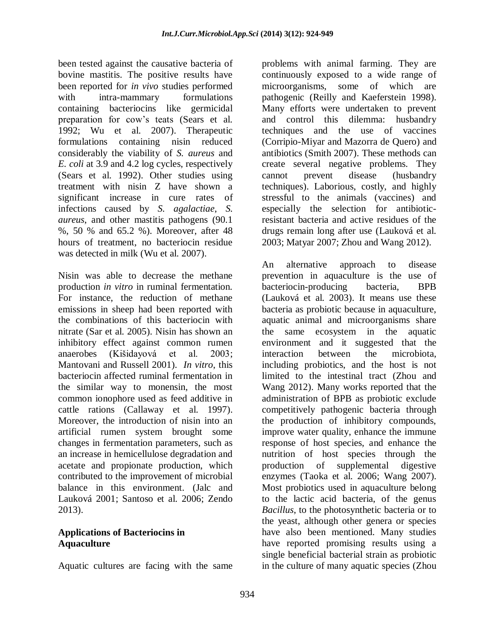been tested against the causative bacteria of bovine mastitis. The positive results have been reported for *in vivo* studies performed with intra-mammary formulations containing bacteriocins like germicidal preparation for cow"s teats (Sears et al. 1992; Wu et al. 2007). Therapeutic formulations containing nisin reduced considerably the viability of *S. aureus* and *E. coli* at 3.9 and 4.2 log cycles, respectively (Sears et al. 1992). Other studies using treatment with nisin Z have shown a significant increase in cure rates of infections caused by *S. agalactiae*, *S. aureus*, and other mastitis pathogens (90.1 %, 50 % and 65.2 %). Moreover, after 48 hours of treatment, no bacteriocin residue was detected in milk (Wu et al. 2007).

Nisin was able to decrease the methane production *in vitro* in ruminal fermentation. For instance, the reduction of methane emissions in sheep had been reported with the combinations of this bacteriocin with nitrate (Sar et al. 2005). Nisin has shown an inhibitory effect against common rumen anaerobes (Kišidayová et al. 2003; Mantovani and Russell 2001). *In vitro*, this bacteriocin affected ruminal fermentation in the similar way to monensin, the most common ionophore used as feed additive in cattle rations (Callaway et al. 1997). Moreover, the introduction of nisin into an artificial rumen system brought some changes in fermentation parameters, such as an increase in hemicellulose degradation and acetate and propionate production, which contributed to the improvement of microbial balance in this environment. (Jalc and Lauková 2001; Santoso et al. 2006; Zendo 2013).

### **Applications of Bacteriocins in Aquaculture**

Aquatic cultures are facing with the same

problems with animal farming. They are continuously exposed to a wide range of microorganisms, some of which are pathogenic (Reilly and Kaeferstein 1998). Many efforts were undertaken to prevent and control this dilemma: husbandry techniques and the use of vaccines (Corripio-Miyar and Mazorra de Quero) and antibiotics (Smith 2007). These methods can create several negative problems. They cannot prevent disease (husbandry techniques). Laborious, costly, and highly stressful to the animals (vaccines) and especially the selection for antibioticresistant bacteria and active residues of the drugs remain long after use (Lauková et al. 2003; Matyar 2007; Zhou and Wang 2012).

An alternative approach to disease prevention in aquaculture is the use of bacteriocin-producing bacteria, BPB (Lauková et al. 2003). It means use these bacteria as probiotic because in aquaculture, aquatic animal and microorganisms share the same ecosystem in the aquatic environment and it suggested that the interaction between the microbiota, including probiotics, and the host is not limited to the intestinal tract (Zhou and Wang 2012). Many works reported that the administration of BPB as probiotic exclude competitively pathogenic bacteria through the production of inhibitory compounds, improve water quality, enhance the immune response of host species, and enhance the nutrition of host species through the production of supplemental digestive enzymes (Taoka et al. 2006; Wang 2007). Most probiotics used in aquaculture belong to the lactic acid bacteria, of the genus *Bacillus*, to the photosynthetic bacteria or to the yeast, although other genera or species have also been mentioned. Many studies have reported promising results using a single beneficial bacterial strain as probiotic in the culture of many aquatic species (Zhou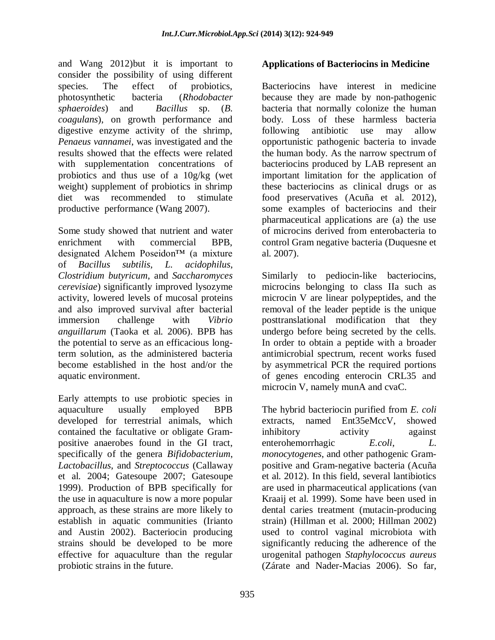and Wang 2012)but it is important to consider the possibility of using different species. The effect of probiotics, photosynthetic bacteria (*Rhodobacter sphaeroides*) and *Bacillus* sp. (*B. coagulans*), on growth performance and digestive enzyme activity of the shrimp, *Penaeus vannamei*, was investigated and the results showed that the effects were related with supplementation concentrations of probiotics and thus use of a 10g/kg (wet weight) supplement of probiotics in shrimp diet was recommended to stimulate productive performance (Wang 2007).

Some study showed that nutrient and water enrichment with commercial BPB, designated Alchem Poseidon™ (a mixture of *Bacillus subtilis*, *L. acidophilus*, *Clostridium butyricum*, and *Saccharomyces cerevisiae*) significantly improved lysozyme activity, lowered levels of mucosal proteins and also improved survival after bacterial immersion challenge with *Vibrio anguillarum* (Taoka et al. 2006). BPB has the potential to serve as an efficacious longterm solution, as the administered bacteria become established in the host and/or the aquatic environment.

Early attempts to use probiotic species in aquaculture usually employed BPB developed for terrestrial animals, which contained the facultative or obligate Grampositive anaerobes found in the GI tract, specifically of the genera *Bifidobacterium*, *Lactobacillus*, and *Streptococcus* (Callaway et al. 2004; Gatesoupe 2007; Gatesoupe 1999). Production of BPB specifically for the use in aquaculture is now a more popular approach, as these strains are more likely to establish in aquatic communities (Irianto and Austin 2002). Bacteriocin producing strains should be developed to be more effective for aquaculture than the regular probiotic strains in the future.

## **Applications of Bacteriocins in Medicine**

Bacteriocins have interest in medicine because they are made by non-pathogenic bacteria that normally colonize the human body. Loss of these harmless bacteria following antibiotic use may allow opportunistic pathogenic bacteria to invade the human body. As the narrow spectrum of bacteriocins produced by LAB represent an important limitation for the application of these bacteriocins as clinical drugs or as food preservatives (Acuña et al. 2012), some examples of bacteriocins and their pharmaceutical applications are (a) the use of microcins derived from enterobacteria to control Gram negative bacteria (Duquesne et al. 2007).

Similarly to pediocin-like bacteriocins, microcins belonging to class IIa such as microcin V are linear polypeptides, and the removal of the leader peptide is the unique posttranslational modification that they undergo before being secreted by the cells. In order to obtain a peptide with a broader antimicrobial spectrum, recent works fused by asymmetrical PCR the required portions of genes encoding enterocin CRL35 and microcin V, namely munA and cvaC.

The hybrid bacteriocin purified from *E. coli* extracts, named Ent35eMccV, showed inhibitory activity against enterohemorrhagic *E.coli*, *L. monocytogenes*, and other pathogenic Grampositive and Gram-negative bacteria (Acuña et al. 2012). In this field, several lantibiotics are used in pharmaceutical applications (van Kraaij et al. 1999). Some have been used in dental caries treatment (mutacin-producing strain) (Hillman et al. 2000; Hillman 2002) used to control vaginal microbiota with significantly reducing the adherence of the urogenital pathogen *Staphylococcus aureus*  (Zárate and Nader-Macias 2006). So far,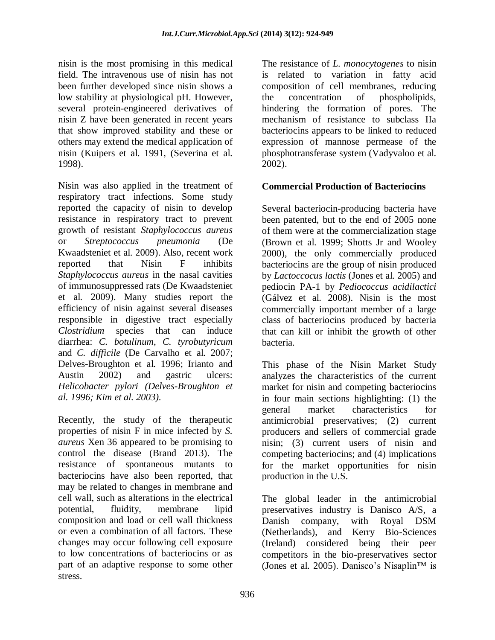nisin is the most promising in this medical field. The intravenous use of nisin has not been further developed since nisin shows a low stability at physiological pH. However, several protein-engineered derivatives of nisin Z have been generated in recent years that show improved stability and these or others may extend the medical application of nisin (Kuipers et al. 1991, (Severina et al. 1998).

Nisin was also applied in the treatment of respiratory tract infections. Some study reported the capacity of nisin to develop resistance in respiratory tract to prevent growth of resistant *Staphylococcus aureus* or *Streptococcus pneumonia* (De Kwaadsteniet et al. 2009). Also, recent work reported that Nisin F inhibits *Staphylococcus aureus* in the nasal cavities of immunosuppressed rats (De Kwaadsteniet et al. 2009). Many studies report the efficiency of nisin against several diseases responsible in digestive tract especially *Clostridium* species that can induce diarrhea: *C. botulinum*, *C. tyrobutyricum* and *C. difficile* (De Carvalho et al. 2007; Delves-Broughton et al. 1996; Irianto and Austin 2002) and gastric ulcers: *Helicobacter pylori (Delves-Broughton et al. 1996; Kim et al. 2003)*.

Recently, the study of the therapeutic properties of nisin F in mice infected by *S. aureus* Xen 36 appeared to be promising to control the disease (Brand 2013). The resistance of spontaneous mutants to bacteriocins have also been reported, that may be related to changes in membrane and cell wall, such as alterations in the electrical potential, fluidity, membrane lipid composition and load or cell wall thickness or even a combination of all factors. These changes may occur following cell exposure to low concentrations of bacteriocins or as part of an adaptive response to some other stress.

The resistance of *L. monocytogenes* to nisin is related to variation in fatty acid composition of cell membranes, reducing the concentration of phospholipids, hindering the formation of pores. The mechanism of resistance to subclass IIa bacteriocins appears to be linked to reduced expression of mannose permease of the phosphotransferase system (Vadyvaloo et al. 2002).

## **Commercial Production of Bacteriocins**

Several bacteriocin-producing bacteria have been patented, but to the end of 2005 none of them were at the commercialization stage (Brown et al. 1999; Shotts Jr and Wooley 2000), the only commercially produced bacteriocins are the group of nisin produced by *Lactoccocus lactis* (Jones et al. 2005) and pediocin PA-1 by *Pediococcus acidilactici* (Gálvez et al. 2008). Nisin is the most commercially important member of a large class of bacteriocins produced by bacteria that can kill or inhibit the growth of other bacteria.

This phase of the Nisin Market Study analyzes the characteristics of the current market for nisin and competing bacteriocins in four main sections highlighting: (1) the general market characteristics for antimicrobial preservatives; (2) current producers and sellers of commercial grade nisin; (3) current users of nisin and competing bacteriocins; and (4) implications for the market opportunities for nisin production in the U.S.

The global leader in the antimicrobial preservatives industry is Danisco A/S, a Danish company, with Royal DSM (Netherlands), and Kerry Bio-Sciences (Ireland) considered being their peer competitors in the bio-preservatives sector (Jones et al. 2005). Danisco"s Nisaplin™ is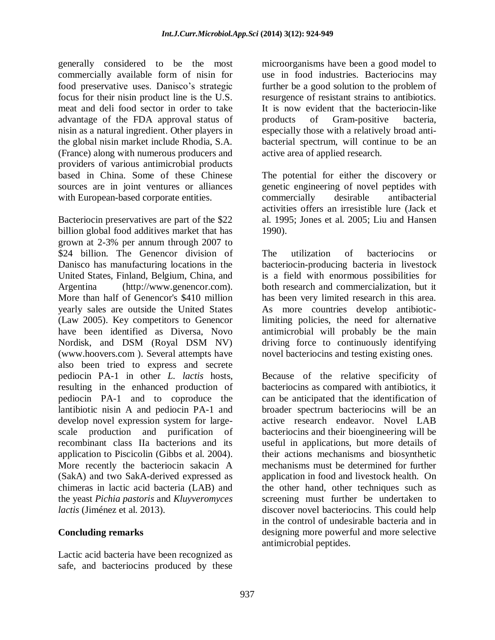generally considered to be the most commercially available form of nisin for food preservative uses. Danisco"s strategic focus for their nisin product line is the U.S. meat and deli food sector in order to take advantage of the FDA approval status of nisin as a natural ingredient. Other players in the global nisin market include Rhodia, S.A. (France) along with numerous producers and providers of various antimicrobial products based in China. Some of these Chinese sources are in joint ventures or alliances with European-based corporate entities.

Bacteriocin preservatives are part of the \$22 billion global food additives market that has grown at 2-3% per annum through 2007 to \$24 billion. The Genencor division of Danisco has manufacturing locations in the United States, Finland, Belgium, China, and Argentina [\(http://www.genencor.com\)](http://www.genencor.com/). More than half of Genencor's \$410 million yearly sales are outside the United States (Law 2005). Key competitors to Genencor have been identified as Diversa, Novo Nordisk, and DSM (Royal DSM NV) [\(www.hoovers.com](http://www.hoovers.com/) ). Several attempts have also been tried to express and secrete pediocin PA-1 in other *L. lactis* hosts, resulting in the enhanced production of pediocin PA-1 and to coproduce the lantibiotic nisin A and pediocin PA-1 and develop novel expression system for largescale production and purification of recombinant class IIa bacterions and its application to Piscicolin (Gibbs et al. 2004). More recently the bacteriocin sakacin A (SakA) and two SakA-derived expressed as chimeras in lactic acid bacteria (LAB) and the yeast *Pichia pastoris* and *Kluyveromyces lactis* (Jiménez et al. 2013).

# **Concluding remarks**

Lactic acid bacteria have been recognized as safe, and bacteriocins produced by these microorganisms have been a good model to use in food industries. Bacteriocins may further be a good solution to the problem of resurgence of resistant strains to antibiotics. It is now evident that the bacteriocin-like products of Gram-positive bacteria, especially those with a relatively broad antibacterial spectrum, will continue to be an active area of applied research.

The potential for either the discovery or genetic engineering of novel peptides with commercially desirable antibacterial activities offers an irresistible lure (Jack et al. 1995; Jones et al. 2005; Liu and Hansen 1990).

The utilization of bacteriocins or bacteriocin-producing bacteria in livestock is a field with enormous possibilities for both research and commercialization, but it has been very limited research in this area. As more countries develop antibioticlimiting policies, the need for alternative antimicrobial will probably be the main driving force to continuously identifying novel bacteriocins and testing existing ones.

Because of the relative specificity of bacteriocins as compared with antibiotics, it can be anticipated that the identification of broader spectrum bacteriocins will be an active research endeavor. Novel LAB bacteriocins and their bioengineering will be useful in applications, but more details of their actions mechanisms and biosynthetic mechanisms must be determined for further application in food and livestock health. On the other hand, other techniques such as screening must further be undertaken to discover novel bacteriocins. This could help in the control of undesirable bacteria and in designing more powerful and more selective antimicrobial peptides.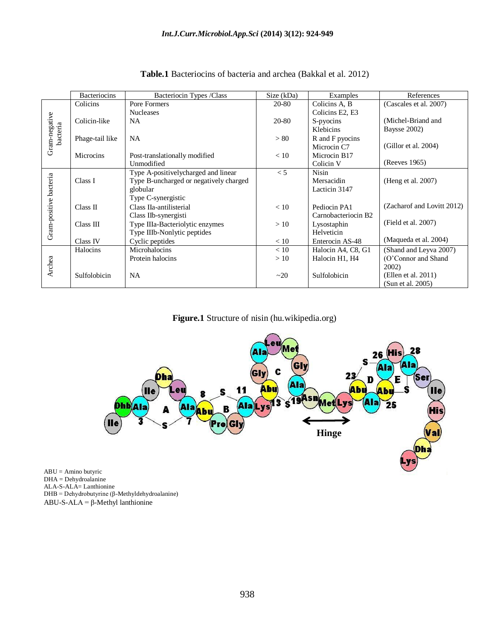|                           | Bacteriocins    | Bacteriocin Types /Class               | Size (kDa) | Examples             | References                 |
|---------------------------|-----------------|----------------------------------------|------------|----------------------|----------------------------|
|                           | Colicins        | Pore Formers                           | 20-80      | Colicins A, B        | (Cascales et al. 2007)     |
| Gram-negative<br>bacteria |                 | <b>Nucleases</b>                       |            | Colicins E2, E3      |                            |
|                           | Colicin-like    | <b>NA</b>                              | 20-80      | S-pyocins            | (Michel-Briand and         |
|                           |                 |                                        |            | Klebicins            | Baysse 2002)               |
|                           | Phage-tail like | <b>NA</b>                              | > 80       | R and F pyocins      |                            |
|                           |                 |                                        |            | Microcin C7          | (Gillor et al. 2004)       |
|                           | Microcins       | Post-translationally modified          | < 10       | Microcin B17         |                            |
|                           |                 | Unmodified                             |            | Colicin <sub>V</sub> | (Reeves 1965)              |
| Gram-positive bacteria    |                 | Type A-positivelycharged and linear    | < 5        | <b>Nisin</b>         |                            |
|                           | Class I         | Type B-uncharged or negatively charged |            | Mersacidin           | (Heng et al. 2007)         |
|                           |                 | globular                               |            | Lacticin 3147        |                            |
|                           |                 | Type C-synergistic                     |            |                      |                            |
|                           | Class II        | Class IIa-antilisterial                | < 10       | Pediocin PA1         | (Zacharof and Lovitt 2012) |
|                           |                 | Class IIb-synergisti                   |            | Carnobacteriocin B2  |                            |
|                           | Class III       | Type IIIa-Bacteriolytic enzymes        | >10        | Lysostaphin          | (Field et al. 2007)        |
|                           |                 | Type IIIb-Nonlytic peptides            |            | Helveticin           |                            |
|                           | Class IV        | Cyclic peptides                        | < 10       | Enterocin AS-48      | (Maqueda et al. 2004)      |
| Archea                    | Halocins        | Microhalocins                          | < 10       | Halocin A4, C8, G1   | (Shand and Leyva 2007)     |
|                           |                 | Protein halocins                       | >10        | Halocin H1, H4       | (O'Connor and Shand        |
|                           |                 |                                        |            |                      | 2002)                      |
|                           | Sulfolobicin    | <b>NA</b>                              | ~20        | Sulfolobicin         | (Ellen et al. 2011)        |
|                           |                 |                                        |            |                      | (Sun et al. 2005)          |

#### **Table.1** Bacteriocins of bacteria and archea (Bakkal et al. 2012)

**Figure.1** Structure of nisin (hu.wikipedia.org)



 $ABU = A$ mino butyric DHA = Dehydroalanine ALA-S-ALA= Lanthionine DHB = Dehydrobutyrine (β-Methyldehydroalanine) ABU-S-ALA = β-Methyl lanthionine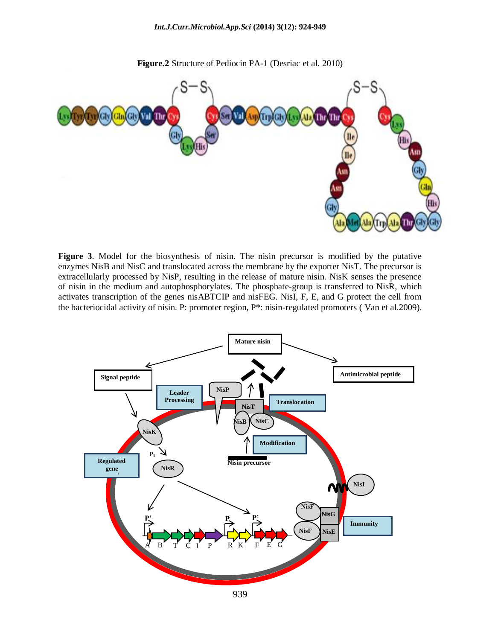

**Figure 3**. Model for the biosynthesis of nisin. The nisin precursor is modified by the putative enzymes NisB and NisC and translocated across the membrane by the exporter NisT. The precursor is extracellularly processed by NisP, resulting in the release of mature nisin. NisK senses the presence of nisin in the medium and autophosphorylates. The phosphate-group is transferred to NisR, which activates transcription of the genes nisABTCIP and nisFEG. NisI, F, E, and G protect the cell from the bacteriocidal activity of nisin. P: promoter region, P\*: nisin-regulated promoters ( Van et al.2009).



**Figure.2** Structure of Pediocin PA-1 (Desriac et al. 2010)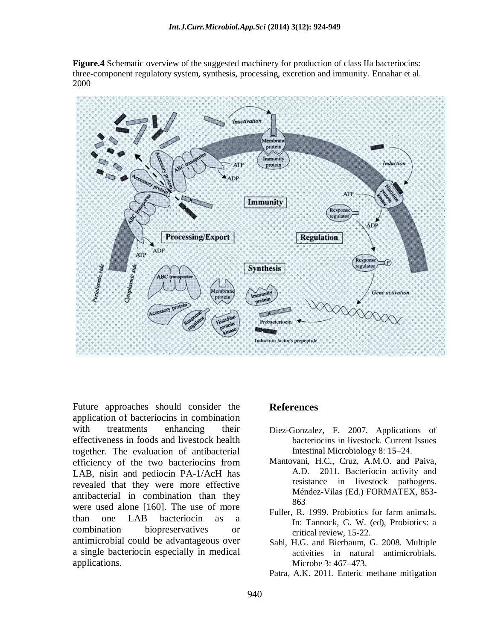**Figure.4** Schematic overview of the suggested machinery for production of class IIa bacteriocins: three-component regulatory system, synthesis, processing, excretion and immunity. Ennahar et al. 2000



Future approaches should consider the application of bacteriocins in combination with treatments enhancing their effectiveness in foods and livestock health together. The evaluation of antibacterial efficiency of the two bacteriocins from LAB, nisin and pediocin PA-1/AcH has revealed that they were more effective antibacterial in combination than they were used alone [160]. The use of more than one LAB bacteriocin as a combination biopreservatives or antimicrobial could be advantageous over a single bacteriocin especially in medical applications.

#### **References**

- Diez-Gonzalez, F. 2007. Applications of bacteriocins in livestock. Current Issues Intestinal Microbiology 8: 15–24.
- Mantovani, H.C., Cruz, A.M.O. and Paiva, A.D. 2011. Bacteriocin activity and resistance in livestock pathogens. Méndez-Vilas (Ed.) FORMATEX, 853- 863
- Fuller, R. 1999. Probiotics for farm animals. In: Tannock, G. W. (ed), Probiotics: a critical review, 15-22.
- Sahl, H.G. and Bierbaum, G. 2008. Multiple activities in natural antimicrobials. Microbe 3: 467–473.
- Patra, A.K. 2011. Enteric methane mitigation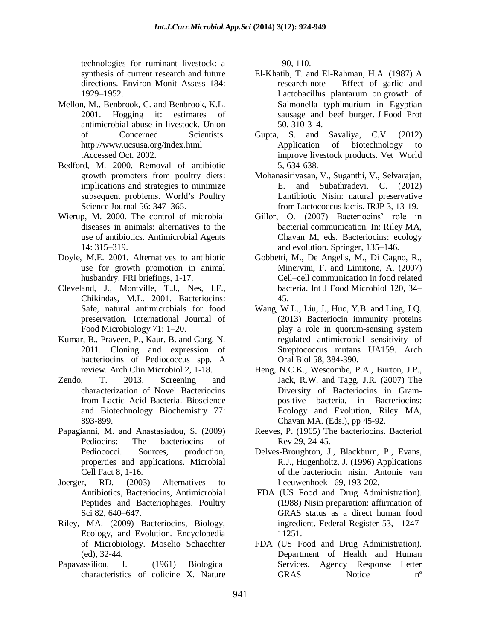technologies for ruminant livestock: a synthesis of current research and future directions. Environ Monit Assess 184: 1929–1952.

- Mellon, M., Benbrook, C. and Benbrook, K.L. 2001. Hogging it: estimates of antimicrobial abuse in livestock. Union of Concerned Scientists. <http://www.ucsusa.org/index.html> .Accessed Oct. 2002.
- Bedford, M. 2000. Removal of antibiotic growth promoters from poultry diets: implications and strategies to minimize subsequent problems. World"s Poultry Science Journal 56: 347–365.
- Wierup, M. 2000. The control of microbial diseases in animals: alternatives to the use of antibiotics. Antimicrobial Agents 14: 315–319.
- Doyle, M.E. 2001. Alternatives to antibiotic use for growth promotion in animal husbandry. FRI briefings, 1-17.
- Cleveland, J., Montville, T.J., Nes, I.F., Chikindas, M.L. 2001. Bacteriocins: Safe, natural antimicrobials for food preservation. International Journal of Food Microbiology 71: 1–20.
- Kumar, B., Praveen, P., Kaur, B. and Garg, N. 2011. Cloning and expression of bacteriocins of Pediococcus spp. A review. Arch Clin Microbiol 2, 1-18.
- Zendo, T. 2013. Screening and characterization of Novel Bacteriocins from Lactic Acid Bacteria. Bioscience and Biotechnology Biochemistry 77: 893-899.
- Papagianni, M. and Anastasiadou, S. (2009) Pediocins: The bacteriocins of Pediococci. Sources, production, properties and applications. Microbial Cell Fact 8, 1-16.
- Joerger, RD. (2003) Alternatives to Antibiotics, Bacteriocins, Antimicrobial Peptides and Bacteriophages. Poultry Sci 82, 640–647.
- Riley, MA. (2009) Bacteriocins, Biology, Ecology, and Evolution. Encyclopedia of Microbiology. Moselio Schaechter (ed), 32-44.
- Papavassiliou, J. (1961) Biological characteristics of colicine X. Nature

190, 110.

- El-Khatib, T. and El-Rahman, H.A. (1987) A research note – Effect of garlic and Lactobacillus plantarum on growth of Salmonella typhimurium in Egyptian sausage and beef burger. J Food Prot 50, 310-314.
- Gupta, S. and Savaliya, C.V. (2012) Application of biotechnology to improve livestock products. Vet World 5, 634-638.
- Mohanasirivasan, V., Suganthi, V., Selvarajan, E. and Subathradevi, C. (2012) Lantibiotic Nisin: natural preservative from Lactococcus lactis. IRJP 3, 13-19.
- Gillor, O. (2007) Bacteriocins' role in bacterial communication. In: Riley MA, Chavan M, eds. Bacteriocins: ecology and evolution. Springer, 135–146.
- Gobbetti, M., De Angelis, M., Di Cagno, R., Minervini, F. and Limitone, A. (2007) Cell–cell communication in food related bacteria. Int J Food Microbiol 120, 34– 45.
- Wang, W.L., Liu, J., Huo, Y.B. and Ling, J.Q. (2013) Bacteriocin immunity proteins play a role in quorum-sensing system regulated antimicrobial sensitivity of Streptococcus mutans UA159. Arch Oral Biol 58, 384-390.
- Heng, N.C.K., Wescombe, P.A., Burton, J.P., Jack, R.W. and Tagg, J.R. (2007) The Diversity of Bacteriocins in Grampositive bacteria, in Bacteriocins: Ecology and Evolution, Riley MA, Chavan MA. (Eds.), pp 45-92.
- Reeves, P. (1965) The bacteriocins. Bacteriol Rev 29, 24-45.
- Delves-Broughton, J., Blackburn, P., Evans, R.J., Hugenholtz, J. (1996) Applications of the bacteriocin nisin. Antonie van Leeuwenhoek 69, 193-202.
- FDA (US Food and Drug Administration). (1988) Nisin preparation: affirmation of GRAS status as a direct human food ingredient. Federal Register 53, 11247- 11251.
- FDA (US Food and Drug Administration). Department of Health and Human Services. Agency Response Letter GRAS Notice nº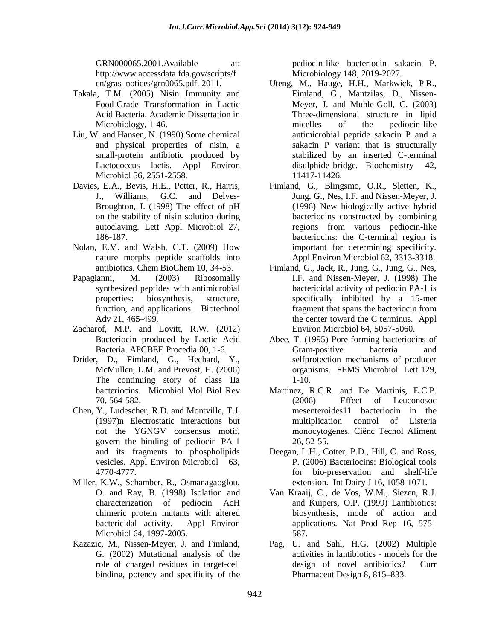GRN000065.2001.Available at: [http://www.accessdata.fda.gov/scripts/f](http://www.accessdata.fda.gov/scripts/fcn/gras_notices/grn0065.pdf) [cn/gras\\_notices/grn0065.pdf.](http://www.accessdata.fda.gov/scripts/fcn/gras_notices/grn0065.pdf) 2011.

- Takala, T.M. (2005) Nisin Immunity and Food-Grade Transformation in Lactic Acid Bacteria. Academic Dissertation in Microbiology, 1-46.
- Liu, W. and Hansen, N. (1990) Some chemical and physical properties of nisin, a small-protein antibiotic produced by Lactococcus lactis. Appl Environ Microbiol 56, 2551-2558.
- Davies, E.A., Bevis, H.E., Potter, R., Harris, J., Williams, G.C. and Delves-Broughton, J. (1998) The effect of pH on the stability of nisin solution during autoclaving. Lett Appl Microbiol 27, 186-187.
- Nolan, E.M. and Walsh, C.T. (2009) How nature morphs peptide scaffolds into antibiotics. Chem BioChem 10, 34-53.
- Papagianni, M. (2003) Ribosomally synthesized peptides with antimicrobial properties: biosynthesis, structure, function, and applications. Biotechnol Adv 21, 465-499.
- Zacharof, M.P. and Lovitt, R.W. (2012) Bacteriocin produced by Lactic Acid Bacteria. APCBEE Procedia 00, 1-6.
- Drider, D., Fimland, G., Hechard, Y., McMullen, L.M. and Prevost, H. (2006) The continuing story of class IIa bacteriocins. Microbiol Mol Biol Rev 70, 564-582.
- Chen, Y., Ludescher, R.D. and Montville, T.J. (1997)n Electrostatic interactions but not the YGNGV consensus motif, govern the binding of pediocin PA-1 and its fragments to phospholipids vesicles. Appl Environ Microbiol 63, 4770-4777.
- Miller, K.W., Schamber, R., Osmanagaoglou, O. and Ray, B. (1998) Isolation and characterization of pediocin AcH chimeric protein mutants with altered bactericidal activity. Appl Environ Microbiol 64, 1997-2005.
- Kazazic, M., Nissen-Meyer, J. and Fimland, G. (2002) Mutational analysis of the role of charged residues in target-cell binding, potency and specificity of the

pediocin-like bacteriocin sakacin P. Microbiology 148, 2019-2027.

- Uteng, M., Hauge, H.H., Markwick, P.R., Fimland, G., Mantzilas, D., Nissen-Meyer, J. and Muhle-Goll, C. (2003) Three-dimensional structure in lipid micelles of the pediocin-like antimicrobial peptide sakacin P and a sakacin P variant that is structurally stabilized by an inserted C-terminal disulphide bridge. Biochemistry 42, 11417-11426.
- Fimland, G., Blingsmo, O.R., Sletten, K., Jung, G., Nes, I.F. and Nissen-Meyer, J. (1996) New biologically active hybrid bacteriocins constructed by combining regions from various pediocin-like bacteriocins: the C-terminal region is important for determining specificity. Appl Environ Microbiol 62, 3313-3318.
- Fimland, G., Jack, R., Jung, G., Jung, G., Nes, I.F. and Nissen-Meyer, J. (1998) The bactericidal activity of pediocin PA-1 is specifically inhibited by a 15-mer fragment that spans the bacteriocin from the center toward the C terminus. Appl Environ Microbiol 64, 5057-5060.
- Abee, T. (1995) Pore-forming bacteriocins of Gram-positive bacteria and selfprotection mechanisms of producer organisms. FEMS Microbiol Lett 129,  $1-10.$
- Martinez, R.C.R. and De Martinis, E.C.P. (2006) Effect of Leuconosoc mesenteroides11 bacteriocin in the multiplication control of Listeria monocytogenes. Ciênc Tecnol Aliment 26, 52-55.
- Deegan, L.H., Cotter, P.D., Hill, C. and Ross, P. (2006) Bacteriocins: Biological tools for bio-preservation and shelf-life extension. Int Dairy J 16, 1058-1071.
- Van Kraaij, C., de Vos, W.M., Siezen, R.J. and Kuipers, O.P. (1999) Lantibiotics: biosynthesis, mode of action and applications. Nat Prod Rep 16, 575– 587.
- Pag, U. and Sahl, H.G. (2002) Multiple activities in lantibiotics - models for the design of novel antibiotics? Curr Pharmaceut Design 8, 815–833.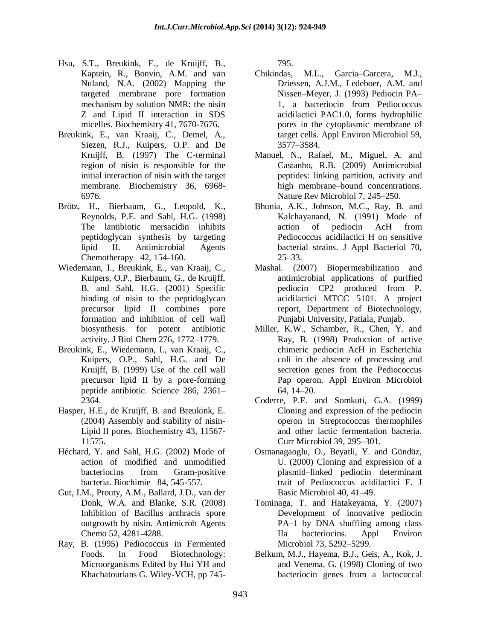- Hsu, S.T., Breukink, E., de Kruijff, B., Kaptein, R., Bonvin, A.M. and van Nuland, N.A. (2002) Mapping the targeted membrane pore formation mechanism by solution NMR: the nisin Z and Lipid II interaction in SDS micelles. Biochemistry 41, 7670-7676.
- Breukink, E., van Kraaij, C., Demel, A., Siezen, R.J., Kuipers, O.P. and De Kruijff, B. (1997) The C-terminal region of nisin is responsible for the initial interaction of nisin with the target membrane. Biochemistry 36, 6968- 6976.
- Brötz, H., Bierbaum, G., Leopold, K., Reynolds, P.E. and Sahl, H.G. (1998) The lantibiotic mersacidin inhibits peptidoglycan synthesis by targeting lipid II. Antimicrobial Agents Chemotherapy 42, 154-160.
- Wiedemann, I., Breukink, E., van Kraaij, C., Kuipers, O.P., Bierbaum, G., de Kruijff, B. and Sahl, H.G. (2001) Specific binding of nisin to the peptidoglycan precursor lipid II combines pore formation and inhibition of cell wall biosynthesis for potent antibiotic activity. J Biol Chem 276, 1772–1779.
- Breukink, E., Wiedemann, I., van Kraaij, C., Kuipers, O.P., Sahl, H.G. and De Kruijff, B. (1999) Use of the cell wall precursor lipid II by a pore-forming peptide antibiotic. Science 286, 2361– 2364.
- Hasper, H.E., de Kruijff, B. and Breukink, E. (2004) Assembly and stability of nisin-Lipid II pores. Biochemistry 43, 11567- 11575.
- Héchard, Y. and Sahl, H.G. (2002) Mode of action of modified and unmodified bacteriocins from Gram-positive bacteria. Biochimie 84, 545-557.
- Gut, I.M., Prouty, A.M., Ballard, J.D., van der Donk, W.A. and Blanke, S.R. (2008) Inhibition of Bacillus anthracis spore outgrowth by nisin. Antimicrob Agents Chemo 52, 4281-4288.
- Ray, B. (1995) Pediococcus in Fermented Foods. In Food Biotechnology: Microorganisms Edited by Hui YH and Khachatourians G. Wiley-VCH, pp 745-

795.

- Chikindas, M.L., Garcia–Garcera, M.J., Driessen, A.J.M., Ledeboer, A.M. and Nissen–Meyer, J. (1993) Pediocin PA– 1, a bacteriocin from Pediococcus acidilactici PAC1.0, forms hydrophilic pores in the cytoplasmic membrane of target cells. Appl Environ Microbiol 59, 3577–3584.
- Manuel, N., Rafael, M., Miguel, A. and Castanho, R.B. (2009) Antimicrobial peptides: linking partition, activity and high membrane–bound concentrations. Nature Rev Microbiol 7, 245–250.
- Bhunia, A.K., Johnson, M.C., Ray, B. and Kalchayanand, N. (1991) Mode of action of pediocin AcH from Pediococcus acidilactici H on sensitive bacterial strains. J Appl Bacteriol 70, 25–33.
- Mashal. (2007) Biopermeabilization and antimicrobial applications of purified pediocin CP2 produced from P. acidilactici MTCC 5101. A project report, Department of Biotechnology, Punjabi University, Patiala, Punjab.
- Miller, K.W., Schamber, R., Chen, Y. and Ray, B. (1998) Production of active chimeric pediocin AcH in Escherichia coli in the absence of processing and secretion genes from the Pediococcus Pap operon. Appl Environ Microbiol 64, 14–20.
- Coderre, P.E. and Somkuti, G.A. (1999) Cloning and expression of the pediocin operon in Streptococcus thermophiles and other lactic fermentation bacteria. Curr Microbiol 39, 295–301.
- Osmanagaoglu, O., Beyatli, Y. and Gündüz, U. (2000) Cloning and expression of a plasmid–linked pediocin determinant trait of Pediococcus acidilactici F. J Basic Microbiol 40, 41–49.
- Tominaga, T. and Hatakeyama, Y. (2007) Development of innovative pediocin PA–1 by DNA shuffling among class IIa bacteriocins. Appl Environ Microbiol 73, 5292–5299.
- Belkum, M.J., Hayema, B.J., Geis, A., Kok, J. and Venema, G. (1998) Cloning of two bacteriocin genes from a lactococcal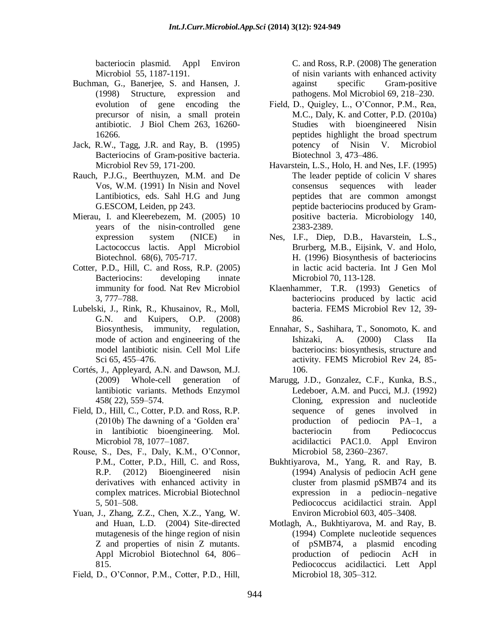bacteriocin plasmid. Appl Environ Microbiol 55, 1187-1191.

- Buchman, G., Banerjee, S. and Hansen, J. (1998) Structure, expression and evolution of gene encoding the precursor of nisin, a small protein antibiotic. J Biol Chem 263, 16260- 16266.
- Jack, R.W., Tagg, J.R. and Ray, B. (1995) Bacteriocins of Gram-positive bacteria. Microbiol Rev 59, 171-200.
- Rauch, P.J.G., Beerthuyzen, M.M. and De Vos, W.M. (1991) In Nisin and Novel Lantibiotics, eds. Sahl H.G and Jung G.ESCOM, Leiden, pp 243.
- Mierau, I. and Kleerebezem, M. (2005) 10 years of the nisin-controlled gene expression system (NICE) in Lactococcus lactis. Appl Microbiol Biotechnol. 68(6), 705-717.
- Cotter, P.D., Hill, C. and Ross, R.P. (2005) Bacteriocins: developing innate immunity for food. Nat Rev Microbiol 3, 777–788.
- Lubelski, J., Rink, R., Khusainov, R., Moll, G.N. and Kuipers, O.P. (2008) Biosynthesis, immunity, regulation, mode of action and engineering of the model lantibiotic nisin. Cell Mol Life Sci 65, 455–476.
- Cortés, J., Appleyard, A.N. and Dawson, M.J. (2009) Whole-cell generation of lantibiotic variants. Methods Enzymol 458( 22), 559–574.
- Field, D., Hill, C., Cotter, P.D. and Ross, R.P. (2010b) The dawning of a "Golden era" in lantibiotic bioengineering. Mol. Microbiol 78, 1077–1087.
- Rouse, S., Des, F., Daly, K.M., O"Connor, P.M., Cotter, P.D., Hill, C. and Ross, R.P. (2012) Bioengineered nisin derivatives with enhanced activity in complex matrices. Microbial Biotechnol 5, 501–508.
- Yuan, J., Zhang, Z.Z., Chen, X.Z., Yang, W. and Huan, L.D. (2004) Site-directed mutagenesis of the hinge region of nisin Z and properties of nisin Z mutants. Appl Microbiol Biotechnol 64, 806– 815.
- Field, D., O"Connor, P.M., Cotter, P.D., Hill,

C. and Ross, R.P. (2008) The generation of nisin variants with enhanced activity against specific Gram-positive pathogens. Mol Microbiol 69, 218–230.

- Field, D., Quigley, L., O"Connor, P.M., Rea, M.C., Daly, K. and Cotter, P.D. (2010a) Studies with bioengineered Nisin peptides highlight the broad spectrum potency of Nisin V. Microbiol Biotechnol 3, 473–486.
- Havarstein, L.S., Holo, H. and Nes, I.F. (1995) The leader peptide of colicin V shares consensus sequences with leader peptides that are common amongst peptide bacteriocins produced by Grampositive bacteria. Microbiology 140, 2383-2389.
- Nes, I.F., Diep, D.B., Havarstein, L.S., Brurberg, M.B., Eijsink, V. and Holo, H. (1996) Biosynthesis of bacteriocins in lactic acid bacteria. Int J Gen Mol Microbiol 70, 113-128.
- Klaenhammer, T.R. (1993) Genetics of bacteriocins produced by lactic acid bacteria. FEMS Microbiol Rev 12, 39- 86.
- Ennahar, S., Sashihara, T., Sonomoto, K. and Ishizaki, A. (2000) Class IIa bacteriocins: biosynthesis, structure and activity. FEMS Microbiol Rev 24, 85- 106.
- Marugg, J.D., Gonzalez, C.F., Kunka, B.S., Ledeboer, A.M. and Pucci, M.J. (1992) Cloning, expression and nucleotide sequence of genes involved in production of pediocin PA–1, a bacteriocin from Pediococcus acidilactici PAC1.0. Appl Environ Microbiol 58, 2360–2367.
- Bukhtiyarova, M., Yang, R. and Ray, B. (1994) Analysis of pediocin AcH gene cluster from plasmid pSMB74 and its expression in a pediocin–negative Pediococcus acidilactici strain. Appl Environ Microbiol 603, 405–3408.
- Motlagh, A., Bukhtiyarova, M. and Ray, B. (1994) Complete nucleotide sequences of pSMB74, a plasmid encoding production of pediocin AcH in Pediococcus acidilactici. Lett Appl Microbiol 18, 305–312.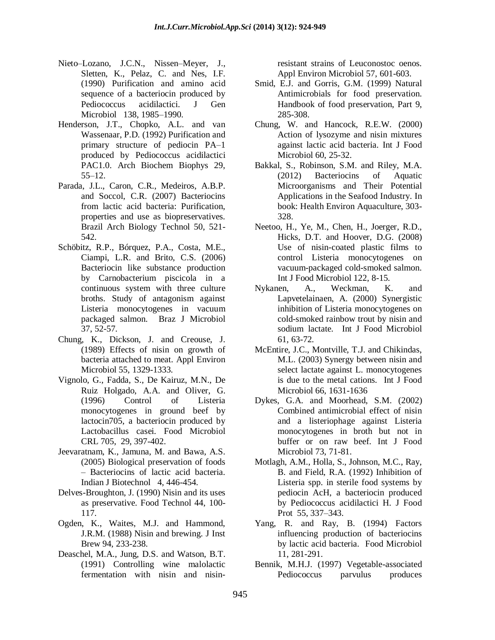- Nieto–Lozano, J.C.N., Nissen–Meyer, J., Sletten, K., Pelaz, C. and Nes, I.F. (1990) Purification and amino acid sequence of a bacteriocin produced by Pediococcus acidilactici. J Gen Microbiol 138, 1985–1990.
- Henderson, J.T., Chopko, A.L. and van Wassenaar, P.D. (1992) Purification and primary structure of pediocin PA–1 produced by Pediococcus acidilactici PAC1.0. Arch Biochem Biophys 29, 55–12.
- Parada, J.L., Caron, C.R., Medeiros, A.B.P. and Soccol, C.R. (2007) Bacteriocins from lactic acid bacteria: Purification, properties and use as biopreservatives. Brazil Arch Biology Technol 50, 521- 542.
- Schöbitz, R.P., Bórquez, P.A., Costa, M.E., Ciampi, L.R. and Brito, C.S. (2006) Bacteriocin like substance production by Carnobacterium piscicola in a continuous system with three culture broths. Study of antagonism against Listeria monocytogenes in vacuum packaged salmon. Braz J Microbiol 37, 52-57.
- Chung, K., Dickson, J. and Creouse, J. (1989) Effects of nisin on growth of bacteria attached to meat. Appl Environ Microbiol 55, 1329-1333.
- Vignolo, G., Fadda, S., De Kairuz, M.N., De Ruiz Holgado, A.A. and Oliver, G. (1996) Control of Listeria monocytogenes in ground beef by lactocin705, a bacteriocin produced by Lactobacillus casei. Food Microbiol CRL 705, 29, 397-402.
- Jeevaratnam, K., Jamuna, M. and Bawa, A.S. (2005) Biological preservation of foods – Bacteriocins of lactic acid bacteria. Indian J Biotechnol 4, 446-454.
- Delves-Broughton, J. (1990) Nisin and its uses as preservative. Food Technol 44, 100- 117.
- Ogden, K., Waites, M.J. and Hammond, J.R.M. (1988) Nisin and brewing. J Inst Brew 94, 233-238.
- Deaschel, M.A., Jung, D.S. and Watson, B.T. (1991) Controlling wine malolactic fermentation with nisin and nisin-

resistant strains of Leuconostoc oenos. Appl Environ Microbiol 57, 601-603.

- Smid, E.J. and Gorris, G.M. (1999) Natural Antimicrobials for food preservation. Handbook of food preservation, Part 9, 285-308.
- Chung, W. and Hancock, R.E.W. (2000) Action of lysozyme and nisin mixtures against lactic acid bacteria. Int J Food Microbiol 60, 25-32.
- Bakkal, S., Robinson, S.M. and Riley, M.A. (2012) Bacteriocins of Aquatic Microorganisms and Their Potential Applications in the Seafood Industry. In book: Health Environ Aquaculture, 303- 328.
- Neetoo, H., Ye, M., Chen, H., Joerger, R.D., Hicks, D.T. and Hoover, D.G. (2008) Use of nisin-coated plastic films to control Listeria monocytogenes on vacuum-packaged cold-smoked salmon. Int J Food Microbiol 122, 8-15.
- Nykanen, A., Weckman, K. and Lapvetelainaen, A. (2000) Synergistic inhibition of Listeria monocytogenes on cold-smoked rainbow trout by nisin and sodium lactate. Int J Food Microbiol 61, 63-72.
- McEntire, J.C., Montville, T.J. and Chikindas, M.L. (2003) Synergy between nisin and select lactate against L. monocytogenes is due to the metal cations. Int J Food Microbiol 66, 1631-1636
- Dykes, G.A. and Moorhead, S.M. (2002) Combined antimicrobial effect of nisin and a listeriophage against Listeria monocytogenes in broth but not in buffer or on raw beef. Int J Food Microbiol 73, 71-81.
- Motlagh, A.M., Holla, S., Johnson, M.C., Ray, B. and Field, R.A. (1992) Inhibition of Listeria spp. in sterile food systems by pediocin AcH, a bacteriocin produced by Pediococcus acidilactici H. J Food Prot 55, 337–343.
- Yang, R. and Ray, B. (1994) Factors influencing production of bacteriocins by lactic acid bacteria. Food Microbiol 11, 281-291.
- Bennik, M.H.J. (1997) Vegetable-associated Pediococcus parvulus produces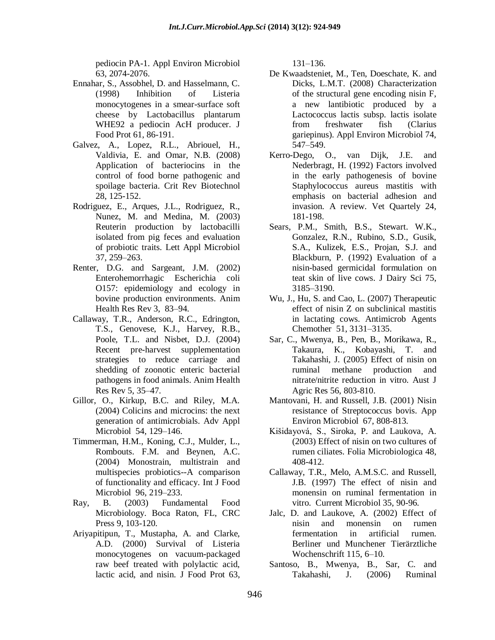pediocin PA-1. Appl Environ Microbiol 63, 2074-2076.

- Ennahar, S., Assobhel, D. and Hasselmann, C. (1998) Inhibition of Listeria monocytogenes in a smear-surface soft cheese by Lactobacillus plantarum WHE92 a pediocin AcH producer. J Food Prot 61, 86-191.
- Galvez, A., Lopez, R.L., Abriouel, H., Valdivia, E. and Omar, N.B. (2008) Application of bacteriocins in the control of food borne pathogenic and spoilage bacteria. Crit Rev Biotechnol 28, 125-152.
- Rodriguez, E., Arques, J.L., Rodriguez, R., Nunez, M. and Medina, M. (2003) Reuterin production by lactobacilli isolated from pig feces and evaluation of probiotic traits. Lett Appl Microbiol 37, 259–263.
- Renter, D.G. and Sargeant, J.M. (2002) Enterohemorrhagic Escherichia coli O157: epidemiology and ecology in bovine production environments. Anim Health Res Rev 3, 83–94.
- Callaway, T.R., Anderson, R.C., Edrington, T.S., Genovese, K.J., Harvey, R.B., Poole, T.L. and Nisbet, D.J. (2004) Recent pre-harvest supplementation strategies to reduce carriage and shedding of zoonotic enteric bacterial pathogens in food animals. Anim Health Res Rev 5, 35–47.
- Gillor, O., Kirkup, B.C. and Riley, M.A. (2004) Colicins and microcins: the next generation of antimicrobials. Adv Appl Microbiol 54, 129–146.
- Timmerman, H.M., Koning, C.J., Mulder, L., Rombouts. F.M. and Beynen, A.C. (2004) Monostrain, multistrain and multispecies probiotics--A comparison of functionality and efficacy. Int J Food Microbiol 96, 219–233.
- Ray, B. (2003) Fundamental Food Microbiology. Boca Raton, FL, CRC Press 9, 103-120.
- Ariyapitipun, T., Mustapha, A. and Clarke, A.D. (2000) Survival of Listeria monocytogenes on vacuum-packaged raw beef treated with polylactic acid, lactic acid, and nisin. J Food Prot 63,

131–136.

- De Kwaadsteniet, M., Ten, Doeschate, K. and Dicks, L.M.T. (2008) Characterization of the structural gene encoding nisin F, a new lantibiotic produced by a Lactococcus lactis subsp. lactis isolate from freshwater fish (Clarius gariepinus). Appl Environ Microbiol 74, 547–549.
- Kerro-Dego, O., van Dijk, J.E. and Nederbragt, H. (1992) Factors involved in the early pathogenesis of bovine Staphylococcus aureus mastitis with emphasis on bacterial adhesion and invasion. A review. Vet Quartely 24, 181-198.
- Sears, P.M., Smith, B.S., Stewart. W.K., Gonzalez, R.N., Rubino, S.D., Gusik, S.A., Kulizek, E.S., Projan, S.J. and Blackburn, P. (1992) Evaluation of a nisin-based germicidal formulation on teat skin of live cows. J Dairy Sci 75, 3185–3190.
- Wu, J., Hu, S. and Cao, L. (2007) Therapeutic effect of nisin Z on subclinical mastitis in lactating cows. Antimicrob Agents Chemother 51, 3131–3135.
- Sar, C., Mwenya, B., Pen, B., Morikawa, R., Takaura, K., Kobayashi, T. and Takahashi, J. (2005) Effect of nisin on ruminal methane production and nitrate/nitrite reduction in vitro. Aust J Agric Res 56, 803-810.
- Mantovani, H. and Russell, J.B. (2001) Nisin resistance of Streptococcus bovis. App Environ Microbiol 67, 808-813.
- Kišidayová, S., Siroka, P. and Laukova, A. (2003) Effect of nisin on two cultures of rumen ciliates. Folia Microbiologica 48, 408-412.
- Callaway, T.R., Melo, A.M.S.C. and Russell, J.B. (1997) The effect of nisin and monensin on ruminal fermentation in vitro. Current Microbiol 35, 90-96.
- Jalc, D. and Laukove, A. (2002) Effect of nisin and monensin on rumen fermentation in artificial rumen. Berliner und Munchener Tierärztliche Wochenschrift 115, 6–10.
- Santoso, B., Mwenya, B., Sar, C. and Takahashi, J. (2006) Ruminal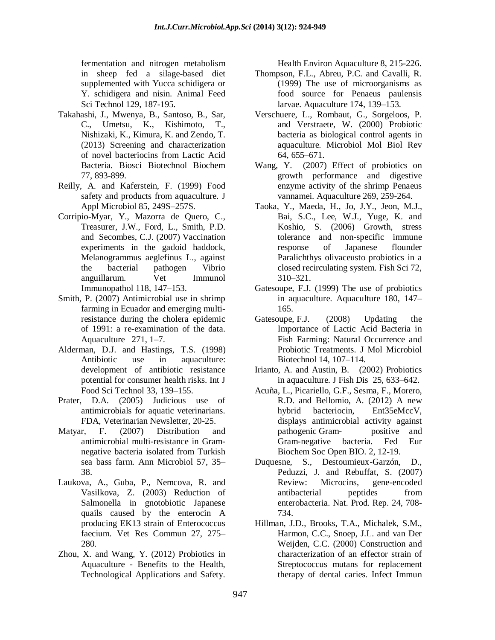fermentation and nitrogen metabolism in sheep fed a silage-based diet supplemented with Yucca schidigera or Y. schidigera and nisin. Animal Feed Sci Technol 129, 187-195.

- Takahashi, J., Mwenya, B., Santoso, B., Sar, C., Umetsu, K., Kishimoto, T., Nishizaki, K., Kimura, K. and Zendo, T. (2013) Screening and characterization of novel bacteriocins from Lactic Acid Bacteria. Biosci Biotechnol Biochem 77, 893-899.
- Reilly, A. and Kaferstein, F. (1999) Food safety and products from aquaculture. J Appl Microbiol 85, 249S–257S.
- Corripio-Myar, Y., Mazorra de Quero, C., Treasurer, J.W., Ford, L., Smith, P.D. and Secombes, C.J. (2007) Vaccination experiments in the gadoid haddock, Melanogrammus aeglefinus L., against the bacterial pathogen Vibrio anguillarum. Vet Immunol Immunopathol 118, 147–153.
- Smith, P. (2007) Antimicrobial use in shrimp farming in Ecuador and emerging multiresistance during the cholera epidemic of 1991: a re-examination of the data. Aquaculture 271, 1–7.
- Alderman, D.J. and Hastings, T.S. (1998) Antibiotic use in aquaculture: development of antibiotic resistance potential for consumer health risks. Int J Food Sci Technol 33, 139–155.
- Prater, D.A. (2005) Judicious use of antimicrobials for aquatic veterinarians. FDA, Veterinarian Newsletter, 20-25.
- Matyar, F. (2007) Distribution and antimicrobial multi-resistance in Gramnegative bacteria isolated from Turkish sea bass farm. Ann Microbiol 57, 35– 38.
- Laukova, A., Guba, P., Nemcova, R. and Vasilkova, Z. (2003) Reduction of Salmonella in gnotobiotic Japanese quails caused by the enterocin A producing EK13 strain of Enterococcus faecium. Vet Res Commun 27, 275– 280.
- Zhou, X. and Wang, Y. (2012) Probiotics in Aquaculture - Benefits to the Health, Technological Applications and Safety.

Health Environ Aquaculture 8, 215-226.

- Thompson, F.L., Abreu, P.C. and Cavalli, R. (1999) The use of microorganisms as food source for Penaeus paulensis larvae. Aquaculture 174, 139–153.
- Verschuere, L., Rombaut, G., Sorgeloos, P. and Verstraete, W. (2000) Probiotic bacteria as biological control agents in aquaculture. Microbiol Mol Biol Rev 64, 655–671.
- Wang, Y. (2007) Effect of probiotics on growth performance and digestive enzyme activity of the shrimp Penaeus vannamei. Aquaculture 269, 259-264.
- Taoka, Y., Maeda, H., Jo, J.Y., Jeon, M.J., Bai, S.C., Lee, W.J., Yuge, K. and Koshio, S. (2006) Growth, stress tolerance and non-specific immune response of Japanese flounder Paralichthys olivaceusto probiotics in a closed recirculating system. Fish Sci 72, 310–321.
- Gatesoupe, F.J. (1999) The use of probiotics in aquaculture. Aquaculture 180, 147– 165.
- Gatesoupe, F.J. (2008) Updating the Importance of Lactic Acid Bacteria in Fish Farming: Natural Occurrence and Probiotic Treatments. J Mol Microbiol Biotechnol 14, 107–114.
- Irianto, A. and Austin, B. (2002) Probiotics in aquaculture. J Fish Dis 25, 633–642.
- Acuña, L., Picariello, G.F., Sesma, F., Morero, R.D. and Bellomio, A. (2012) A new hybrid bacteriocin, Ent35eMccV, displays antimicrobial activity against pathogenic Gram- positive and Gram-negative bacteria. Fed Eur Biochem Soc Open BIO. 2, 12-19.
- Duquesne, S., Destoumieux-Garzón, D., Peduzzi, J. and Rebuffat, S. (2007) Review: Microcins, gene-encoded antibacterial peptides from enterobacteria. Nat. Prod. Rep. 24, 708- 734.
- Hillman, J.D., Brooks, T.A., Michalek, S.M., Harmon, C.C., Snoep, J.L. and van Der Weijden, C.C. (2000) Construction and characterization of an effector strain of Streptococcus mutans for replacement therapy of dental caries. Infect Immun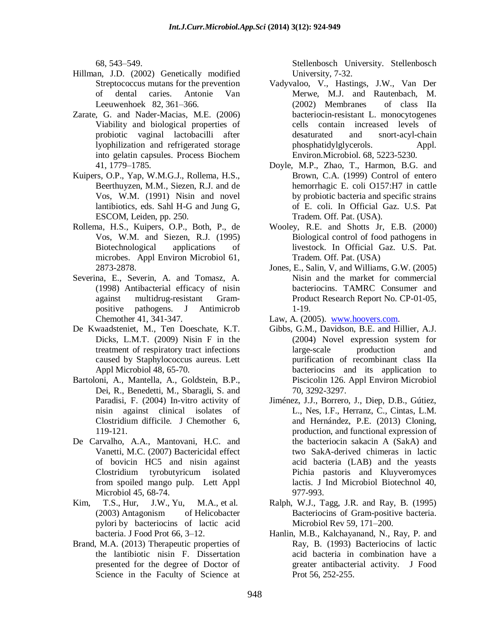68, 543–549.

- Hillman, J.D. (2002) Genetically modified Streptococcus mutans for the prevention of dental caries. Antonie Van Leeuwenhoek 82, 361–366.
- Zarate, G. and Nader-Macias, M.E. (2006) Viability and biological properties of probiotic vaginal lactobacilli after lyophilization and refrigerated storage into gelatin capsules. Process Biochem 41, 1779–1785.
- Kuipers, O.P., Yap, W.M.G.J., Rollema, H.S., Beerthuyzen, M.M., Siezen, R.J. and de Vos, W.M. (1991) Nisin and novel lantibiotics, eds. Sahl H-G and Jung G, ESCOM, Leiden, pp. 250.
- Rollema, H.S., Kuipers, O.P., Both, P., de Vos, W.M. and Siezen, R.J. (1995) Biotechnological applications of microbes. Appl Environ Microbiol 61, 2873-2878.
- Severina, E., Severin, A. and Tomasz, A. (1998) Antibacterial efficacy of nisin against multidrug-resistant Grampositive pathogens. J Antimicrob Chemother 41, 341-347.
- De Kwaadsteniet, M., Ten Doeschate, K.T. Dicks, L.M.T. (2009) Nisin F in the treatment of respiratory tract infections caused by Staphylococcus aureus. Lett Appl Microbiol 48, 65-70.
- Bartoloni, A., Mantella, A., Goldstein, B.P., Dei, R., Benedetti, M., Sbaragli, S. and Paradisi, F. (2004) In-vitro activity of nisin against clinical isolates of Clostridium difficile. J Chemother 6, 119-121.
- De Carvalho, A.A., Mantovani, H.C. and Vanetti, M.C. (2007) Bactericidal effect of bovicin HC5 and nisin against Clostridium tyrobutyricum isolated from spoiled mango pulp. Lett Appl Microbiol 45, 68-74.
- Kim, T.S., Hur, J.W., Yu, M.A., et al. (2003) Antagonism of Helicobacter pylori by bacteriocins of lactic acid bacteria. J Food Prot 66, 3–12.
- Brand, M.A. (2013) Therapeutic properties of the lantibiotic nisin F. Dissertation presented for the degree of Doctor of Science in the Faculty of Science at

Stellenbosch University. Stellenbosch University, 7-32.

- Vadyvaloo, V., Hastings, J.W., Van Der Merwe, M.J. and Rautenbach, M. (2002) Membranes of class IIa bacteriocin-resistant L. monocytogenes cells contain increased levels of desaturated and snort-acyl-chain phosphatidylglycerols. Appl. Environ.Microbiol. 68, 5223-5230.
- Doyle, M.P., Zhao, T., Harmon, B.G. and Brown, C.A. (1999) Control of entero hemorrhagic E. coli O157:H7 in cattle by probiotic bacteria and specific strains of E. coli. In Official Gaz. U.S. Pat Tradem. Off. Pat. (USA).
- Wooley, R.E. and Shotts Jr, E.B. (2000) Biological control of food pathogens in livestock. In Official Gaz. U.S. Pat. Tradem. Off. Pat. (USA)
- Jones, E., Salin, V, and Williams, G.W. (2005) Nisin and the market for commercial bacteriocins. TAMRC Consumer and Product Research Report No. CP-01-05, 1-19.
- Law, A. (2005). [www.hoovers.com.](http://www.hoovers.com/)
- Gibbs, G.M., Davidson, B.E. and Hillier, A.J. (2004) Novel expression system for large-scale production and purification of recombinant class IIa bacteriocins and its application to Piscicolin 126. Appl Environ Microbiol 70, 3292-3297.
- Jiménez, J.J., Borrero, J., Diep, D.B., Gútiez, L., Nes, I.F., Herranz, C., Cintas, L.M. and Hernández, P.E. (2013) Cloning, production, and functional expression of the bacteriocin sakacin A (SakA) and two SakA-derived chimeras in lactic acid bacteria (LAB) and the yeasts Pichia pastoris and Kluyveromyces lactis. J Ind Microbiol Biotechnol 40, 977-993.
- Ralph, W.J., Tagg, J.R. and Ray, B. (1995) Bacteriocins of Gram-positive bacteria. Microbiol Rev 59, 171–200.
- Hanlin, M.B., Kalchayanand, N., Ray, P. and Ray, B. (1993) Bacteriocins of lactic acid bacteria in combination have a greater antibacterial activity. J Food Prot 56, 252-255.